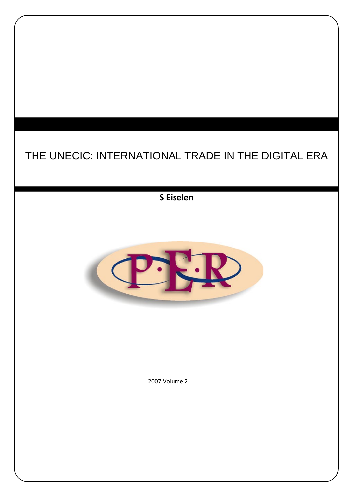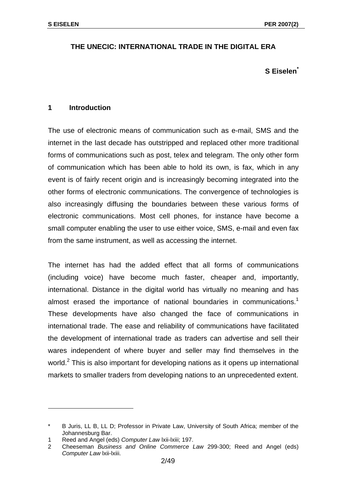## **THE UNECIC: INTERNATIONAL TRADE IN THE DIGITAL ERA**

### **S Eiselen\***

#### **1 Introduction**

The use of electronic means of communication such as e-mail, SMS and the internet in the last decade has outstripped and replaced other more traditional forms of communications such as post, telex and telegram. The only other form of communication which has been able to hold its own, is fax, which in any event is of fairly recent origin and is increasingly becoming integrated into the other forms of electronic communications. The convergence of technologies is also increasingly diffusing the boundaries between these various forms of electronic communications. Most cell phones, for instance have become a small computer enabling the user to use either voice, SMS, e-mail and even fax from the same instrument, as well as accessing the internet.

The internet has had the added effect that all forms of communications (including voice) have become much faster, cheaper and, importantly, international. Distance in the digital world has virtually no meaning and has almost erased the importance of national boundaries in communications.<sup>1</sup> These developments have also changed the face of communications in international trade. The ease and reliability of communications have facilitated the development of international trade as traders can advertise and sell their wares independent of where buyer and seller may find themselves in the world.<sup>2</sup> This is also important for developing nations as it opens up international markets to smaller traders from developing nations to an unprecedented extent.

B Juris, LL B, LL D; Professor in Private Law, University of South Africa; member of the Johannesburg Bar.

<sup>1</sup> Reed and Angel (eds) *Computer Law* lxii-lxiii; 197.

<sup>2</sup> Cheeseman *Business and Online Commerce Law* 299-300; Reed and Angel (eds) *Computer Law* lxii-lxiii.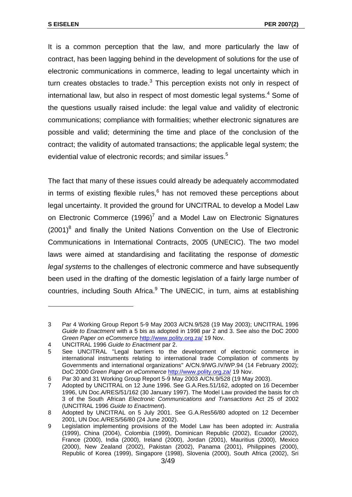It is a common perception that the law, and more particularly the law of contract, has been lagging behind in the development of solutions for the use of electronic communications in commerce, leading to legal uncertainty which in turn creates obstacles to trade. $3$  This perception exists not only in respect of international law, but also in respect of most domestic legal systems.<sup>4</sup> Some of the questions usually raised include: the legal value and validity of electronic communications; compliance with formalities; whether electronic signatures are possible and valid; determining the time and place of the conclusion of the contract; the validity of automated transactions; the applicable legal system; the evidential value of electronic records; and similar issues.<sup>5</sup>

The fact that many of these issues could already be adequately accommodated in terms of existing flexible rules. $6$  has not removed these perceptions about legal uncertainty. It provided the ground for UNCITRAL to develop a Model Law on Electronic Commerce  $(1996)^7$  and a Model Law on Electronic Signatures  $(2001)^8$  and finally the United Nations Convention on the Use of Electronic Communications in International Contracts, 2005 (UNECIC). The two model laws were aimed at standardising and facilitating the response of *domestic legal systems* to the challenges of electronic commerce and have subsequently been used in the drafting of the domestic legislation of a fairly large number of countries, including South Africa.<sup>9</sup> The UNECIC, in turn, aims at establishing

<sup>3</sup> Par 4 Working Group Report 5-9 May 2003 A/CN.9/528 (19 May 2003); UNCITRAL 1996 *Guide to Enactment* with a 5 bis as adopted in 1998 par 2 and 3. See also the DoC 2000 *Green Paper on eCommerce* [http://www.polity.org.za/](http://www.polity.org.za/polity/govdocs/green_papers/greenpaper/index.html) 19 Nov.

<sup>4</sup> UNCITRAL 1996 *Guide to Enactment* par 2.

<sup>5</sup> See UNCITRAL "Legal barriers to the development of electronic commerce in international instruments relating to international trade Compilation of comments by Governments and international organizations" A/CN.9/WG.IV/WP.94 (14 February 2002); DoC 2000 *Green Paper on eCommerce* [http://www.polity.org.za/](http://www.polity.org.za/polity/govdocs/green_papers/greenpaper/index.html) 19 Nov.

<sup>6</sup> Par 30 and 31 Working Group Report 5-9 May 2003 A/CN.9/528 (19 May 2003).

<sup>7</sup> Adopted by UNCITRAL on 12 June 1996. See G.A.Res.51/162, adopted on 16 December 1996, UN Doc.A/RES/51/162 (30 January 1997). The Model Law provided the basis for ch 3 of the South African *Electronic Communications and Transactions* Act 25 of 2002 (UNCITRAL 1996 *Guide to Enactment*).

<sup>8</sup> Adopted by UNCITRAL on 5 July 2001. See G.A.Res56/80 adopted on 12 December 2001, UN Doc.A/RES/56/80 (24 June 2002).

<sup>9</sup> Legislation implementing provisions of the Model Law has been adopted in: Australia (1999), China (2004), Colombia (1999), Dominican Republic (2002), Ecuador (2002), France (2000), India (2000), Ireland (2000), Jordan (2001), Mauritius (2000), Mexico (2000), New Zealand (2002), Pakistan (2002), Panama (2001), Philippines (2000), Republic of Korea (1999), Singapore (1998), Slovenia (2000), South Africa (2002), Sri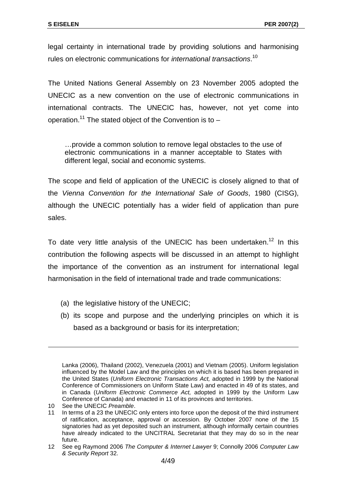legal certainty in international trade by providing solutions and harmonising rules on electronic communications for *international transactions*. 10

The United Nations General Assembly on 23 November 2005 adopted the UNECIC as a new convention on the use of electronic communications in international contracts. The UNECIC has, however, not yet come into operation.<sup>11</sup> The stated object of the Convention is to  $-$ 

…provide a common solution to remove legal obstacles to the use of electronic communications in a manner acceptable to States with different legal, social and economic systems.

The scope and field of application of the UNECIC is closely aligned to that of the *Vienna Convention for the International Sale of Goods*, 1980 (CISG), although the UNECIC potentially has a wider field of application than pure sales.

To date very little analysis of the UNECIC has been undertaken.<sup>12</sup> In this contribution the following aspects will be discussed in an attempt to highlight the importance of the convention as an instrument for international legal harmonisation in the field of international trade and trade communications:

- (a) the legislative history of the UNECIC;
- (b) its scope and purpose and the underlying principles on which it is based as a background or basis for its interpretation;

Lanka (2006), Thailand (2002), Venezuela (2001) and Vietnam (2005). Uniform legislation influenced by the Model Law and the principles on which it is based has been prepared in the United States (*Uniform Electronic Transactions Act,* adopted in 1999 by the National Conference of Commissioners on Uniform State Law) and enacted in 49 of its states, and in Canada (*Uniform Electronic Commerce Act,* adopted in 1999 by the Uniform Law Conference of Canada) and enacted in 11 of its provinces and territories.

<sup>10</sup> See the UNECIC *Preamble*.

<sup>11</sup> In terms of a 23 the UNECIC only enters into force upon the deposit of the third instrument of ratification, acceptance, approval or accession. By October 2007 none of the 15 signatories had as yet deposited such an instrument, although informally certain countries have already indicated to the UNCITRAL Secretariat that they may do so in the near future.

<sup>12</sup> See eg Raymond 2006 *The Computer & Internet Lawyer* 9; Connolly 2006 *Computer Law & Security Report* 32.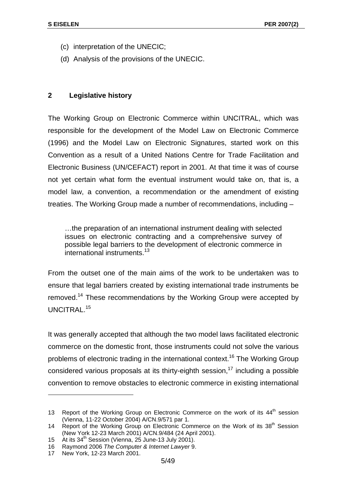- (c) interpretation of the UNECIC;
- (d) Analysis of the provisions of the UNECIC.

### **2 Legislative history**

The Working Group on Electronic Commerce within UNCITRAL, which was responsible for the development of the Model Law on Electronic Commerce (1996) and the Model Law on Electronic Signatures, started work on this Convention as a result of a United Nations Centre for Trade Facilitation and Electronic Business (UN/CEFACT) report in 2001. At that time it was of course not yet certain what form the eventual instrument would take on, that is, a model law, a convention, a recommendation or the amendment of existing treaties. The Working Group made a number of recommendations, including –

…the preparation of an international instrument dealing with selected issues on electronic contracting and a comprehensive survey of possible legal barriers to the development of electronic commerce in international instruments.<sup>13</sup>

From the outset one of the main aims of the work to be undertaken was to ensure that legal barriers created by existing international trade instruments be removed.<sup>14</sup> These recommendations by the Working Group were accepted by UNCITRAL.<sup>15</sup>

It was generally accepted that although the two model laws facilitated electronic commerce on the domestic front, those instruments could not solve the various problems of electronic trading in the international context.<sup>16</sup> The Working Group considered various proposals at its thirty-eighth session, <sup>17</sup> including a possible convention to remove obstacles to electronic commerce in existing international

<sup>13</sup> Report of the Working Group on Electronic Commerce on the work of its 44<sup>th</sup> session (Vienna, 11-22 October 2004) A/CN.9/571 par 1.

<sup>14</sup> Report of the Working Group on Electronic Commerce on the Work of its 38<sup>th</sup> Session (New York 12-23 March 2001) A/CN.9/484 (24 April 2001).

<sup>15</sup> At its  $34<sup>th</sup>$  Session (Vienna, 25 June-13 July 2001).

<sup>16</sup> Raymond 2006 *The Computer & Internet Lawyer* 9.

<sup>17</sup> New York, 12-23 March 2001.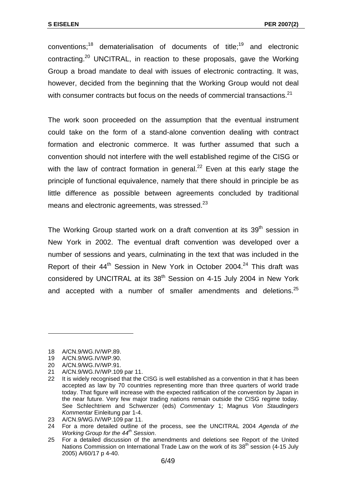conventions;<sup>18</sup> dematerialisation of documents of title;<sup>19</sup> and electronic contracting.<sup>20</sup> UNCITRAL, in reaction to these proposals, gave the Working Group a broad mandate to deal with issues of electronic contracting. It was, however, decided from the beginning that the Working Group would not deal with consumer contracts but focus on the needs of commercial transactions.<sup>21</sup>

The work soon proceeded on the assumption that the eventual instrument could take on the form of a stand-alone convention dealing with contract formation and electronic commerce. It was further assumed that such a convention should not interfere with the well established regime of the CISG or with the law of contract formation in general. $^{22}$  Even at this early stage the principle of functional equivalence, namely that there should in principle be as little difference as possible between agreements concluded by traditional means and electronic agreements, was stressed. $^{23}$ 

The Working Group started work on a draft convention at its  $39<sup>th</sup>$  session in New York in 2002. The eventual draft convention was developed over a number of sessions and years, culminating in the text that was included in the Report of their  $44<sup>th</sup>$  Session in New York in October 2004.<sup>24</sup> This draft was considered by UNCITRAL at its 38<sup>th</sup> Session on 4-15 July 2004 in New York and accepted with a number of smaller amendments and deletions.<sup>25</sup>

<sup>18</sup> A/CN.9/WG.IV/WP.89.

<sup>19</sup> A/CN.9/WG.IV/WP.90.

<sup>20</sup> A/CN.9/WG.IV/WP.91.

<sup>21</sup> A/CN.9/WG.IV/WP.109 par 11.

<sup>22</sup> It is widely recognised that the CISG is well established as a convention in that it has been accepted as law by 70 countries representing more than three quarters of world trade today. That figure will increase with the expected ratification of the convention by Japan in the near future. Very few major trading nations remain outside the CISG regime today. See Schlechtriem and Schwenzer (eds) *Commentary* 1; Magnus *Von Staudingers Kommentar* Einleitung par 1-4.

<sup>23</sup> A/CN.9/WG.IV/WP.109 par 11.

<sup>24</sup> For a more detailed outline of the process, see the UNCITRAL 2004 *Agenda of the Working Group for the 44th Session*.

<sup>25</sup> For a detailed discussion of the amendments and deletions see Report of the United Nations Commission on International Trade Law on the work of its 38<sup>th</sup> session (4-15 July 2005) A/60/17 p 4-40.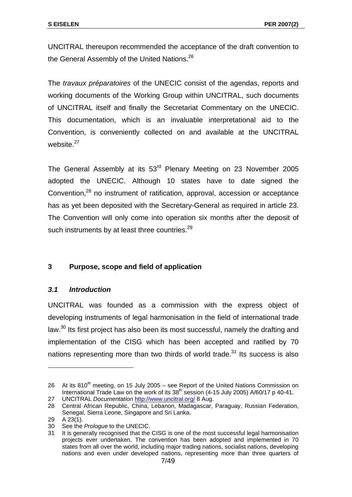UNCITRAL thereupon recommended the acceptance of the draft convention to the General Assembly of the United Nations.<sup>26</sup>

The *travaux préparatoires* of the UNECIC consist of the agendas, reports and working documents of the Working Group within UNCITRAL, such documents of UNCITRAL itself and finally the Secretariat Commentary on the UNECIC. This documentation, which is an invaluable interpretational aid to the Convention, is conveniently collected on and available at the UNCITRAL website.<sup>27</sup>

The General Assembly at its 53<sup>rd</sup> Plenary Meeting on 23 November 2005 adopted the UNECIC. Although 10 states have to date signed the Convention,<sup>28</sup> no instrument of ratification, approval, accession or acceptance has as yet been deposited with the Secretary-General as required in article 23. The Convention will only come into operation six months after the deposit of such instruments by at least three countries.<sup>29</sup>

### **3 Purpose, scope and field of application**

#### *3.1 Introduction*

UNCITRAL was founded as a commission with the express object of developing instruments of legal harmonisation in the field of international trade law.<sup>30</sup> Its first project has also been its most successful, namely the drafting and implementation of the CISG which has been accepted and ratified by 70 nations representing more than two thirds of world trade.<sup>31</sup> Its success is also

<sup>26</sup> At its  $810<sup>th</sup>$  meeting, on 15 July 2005 – see Report of the United Nations Commission on International Trade Law on the work of its  $38<sup>th</sup>$  session (4-15 July 2005) A/60/17 p 40-41. 27 UNCITRAL *Documentation* [http://www.uncitral.org/](http://www.uncitral.org/uncitral/en/uncitral_texts/electronic_commerce/2005Convention.html) 8 Aug.

<sup>28</sup> Central African Republic, China, Lebanon, Madagascar, Paraguay, Russian Federation, Senegal, Sierra Leone, Singapore and Sri Lanka.

<sup>29</sup> A 23(1).

<sup>30</sup> See the *Prologue* to the UNECIC.

<sup>31</sup> It is generally recognised that the CISG is one of the most successful legal harmonisation projects ever undertaken. The convention has been adopted and implemented in 70 states from all over the world, including major trading nations, socialist nations, developing nations and even under developed nations, representing more than three quarters of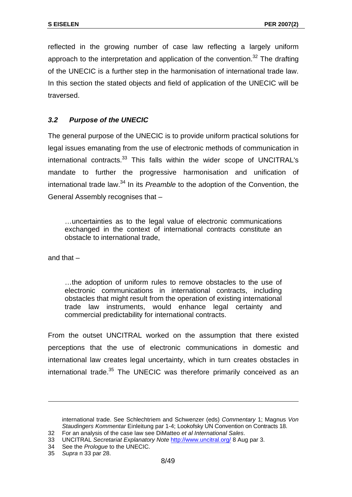reflected in the growing number of case law reflecting a largely uniform approach to the interpretation and application of the convention.<sup>32</sup> The drafting of the UNECIC is a further step in the harmonisation of international trade law. In this section the stated objects and field of application of the UNECIC will be traversed.

### *3.2 Purpose of the UNECIC*

The general purpose of the UNECIC is to provide uniform practical solutions for legal issues emanating from the use of electronic methods of communication in international contracts.<sup>33</sup> This falls within the wider scope of UNCITRAL's mandate to further the progressive harmonisation and unification of international trade law.34 In its *Preamble* to the adoption of the Convention, the General Assembly recognises that –

…uncertainties as to the legal value of electronic communications exchanged in the context of international contracts constitute an obstacle to international trade,

and that –

…the adoption of uniform rules to remove obstacles to the use of electronic communications in international contracts, including obstacles that might result from the operation of existing international trade law instruments, would enhance legal certainty and commercial predictability for international contracts.

From the outset UNCITRAL worked on the assumption that there existed perceptions that the use of electronic communications in domestic and international law creates legal uncertainty, which in turn creates obstacles in international trade. $35$  The UNECIC was therefore primarily conceived as an

international trade. See Schlechtriem and Schwenzer (eds) *Commentary* 1; Magnus *Von Staudingers Kommentar* Einleitung par 1-4; Lookofsky UN Convention on Contracts 18.

<sup>32</sup> For an analysis of the case law see DiMatteo *et al International Sales*.

<sup>33</sup> UNCITRAL *Secretariat Explanatory Note* [http://www.uncitral.org/](http://www.uncitral.org/pdf/english/texts/electcom/06-57452_Ebook.pdf) 8 Aug par 3.

<sup>34</sup> See the *Prologue* to the UNECIC.

<sup>35</sup> *Supra* n 33 par 28.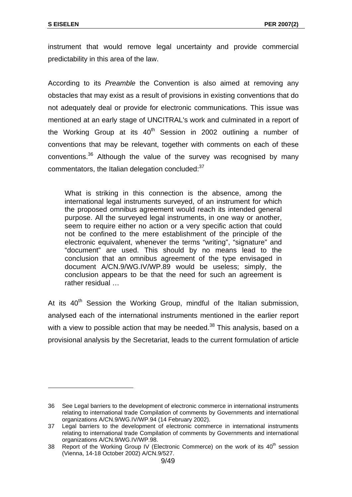instrument that would remove legal uncertainty and provide commercial predictability in this area of the law.

According to its *Preamble* the Convention is also aimed at removing any obstacles that may exist as a result of provisions in existing conventions that do not adequately deal or provide for electronic communications. This issue was mentioned at an early stage of UNCITRAL's work and culminated in a report of the Working Group at its  $40<sup>th</sup>$  Session in 2002 outlining a number of conventions that may be relevant, together with comments on each of these conventions.<sup>36</sup> Although the value of the survey was recognised by many commentators, the Italian delegation concluded:<sup>37</sup>

What is striking in this connection is the absence, among the international legal instruments surveyed, of an instrument for which the proposed omnibus agreement would reach its intended general purpose. All the surveyed legal instruments, in one way or another, seem to require either no action or a very specific action that could not be confined to the mere establishment of the principle of the electronic equivalent, whenever the terms "writing", "signature" and "document" are used. This should by no means lead to the conclusion that an omnibus agreement of the type envisaged in document A/CN.9/WG.IV/WP.89 would be useless; simply, the conclusion appears to be that the need for such an agreement is rather residual …

At its 40<sup>th</sup> Session the Working Group, mindful of the Italian submission, analysed each of the international instruments mentioned in the earlier report with a view to possible action that may be needed.<sup>38</sup> This analysis, based on a provisional analysis by the Secretariat, leads to the current formulation of article

<sup>36</sup> See Legal barriers to the development of electronic commerce in international instruments relating to international trade Compilation of comments by Governments and international organizations A/CN.9/WG.IV/WP.94 (14 February 2002).

<sup>37</sup> Legal barriers to the development of electronic commerce in international instruments relating to international trade Compilation of comments by Governments and international organizations A/CN.9/WG.IV/WP.98.

<sup>38</sup> Report of the Working Group IV (Electronic Commerce) on the work of its  $40^{th}$  session (Vienna, 14-18 October 2002) A/CN.9/527.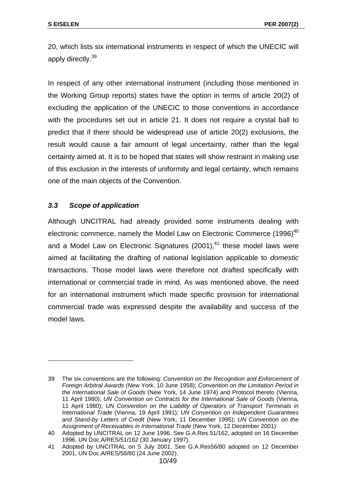20, which lists six international instruments in respect of which the UNECIC will apply directly.<sup>39</sup>

In respect of any other international instrument (including those mentioned in the Working Group reports) states have the option in terms of article 20(2) of excluding the application of the UNECIC to those conventions in accordance with the procedures set out in article 21. It does not require a crystal ball to predict that if there should be widespread use of article 20(2) exclusions, the result would cause a fair amount of legal uncertainty, rather than the legal certainty aimed at. It is to be hoped that states will show restraint in making use of this exclusion in the interests of uniformity and legal certainty, which remains one of the main objects of the Convention.

## *3.3 Scope of application*

Although UNCITRAL had already provided some instruments dealing with electronic commerce, namely the Model Law on Electronic Commerce (1996)<sup>40</sup> and a Model Law on Electronic Signatures (2001),<sup>41</sup> these model laws were aimed at facilitating the drafting of national legislation applicable to *domestic* transactions. Those model laws were therefore not drafted specifically with international or commercial trade in mind. As was mentioned above, the need for an international instrument which made specific provision for international commercial trade was expressed despite the availability and success of the model laws.

<sup>39</sup> The six conventions are the following: *Convention on the Recognition and Enforcement of Foreign Arbitral Awards (N*ew York, 10 June 1958); *Convention on the Limitation Period in the International Sale of Goods* (New York, 14 June 1974) and Protocol thereto (Vienna, 11 April 1980); *UN Convention on Contracts for the International Sale of Goods* (Vienna, 11 April 1980); *UN Convention on the Liability of Operators of Transport Terminals in International Trade* (Vienna, 19 April 1991); *UN Convention on Independent Guarantees and Stand-by Letters of Credit* (New York, 11 December 1995); *UN Convention on the Assignment of Receivables in International Trade* (New York, 12 December 2001)

<sup>40</sup> Adopted by UNCITRAL on 12 June 1996. See G.A.Res.51/162, adopted on 16 December 1996, UN Doc.A/RES/51/162 (30 January 1997).

<sup>41</sup> Adopted by UNCITRAL on 5 July 2001. See G.A.Res56/80 adopted on 12 December 2001, UN Doc.A/RES/56/80 (24 June 2002).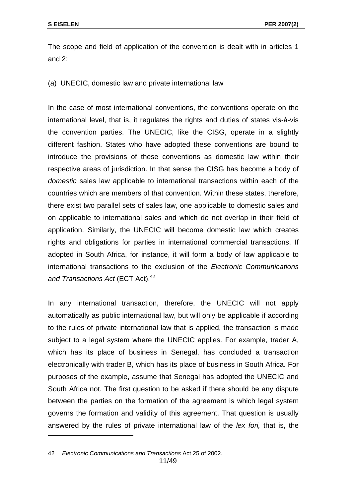The scope and field of application of the convention is dealt with in articles 1 and 2:

(a) UNECIC, domestic law and private international law

In the case of most international conventions, the conventions operate on the international level, that is, it regulates the rights and duties of states vis-à-vis the convention parties. The UNECIC, like the CISG, operate in a slightly different fashion. States who have adopted these conventions are bound to introduce the provisions of these conventions as domestic law within their respective areas of jurisdiction. In that sense the CISG has become a body of *domestic* sales law applicable to international transactions within each of the countries which are members of that convention. Within these states, therefore, there exist two parallel sets of sales law, one applicable to domestic sales and on applicable to international sales and which do not overlap in their field of application. Similarly, the UNECIC will become domestic law which creates rights and obligations for parties in international commercial transactions. If adopted in South Africa, for instance, it will form a body of law applicable to international transactions to the exclusion of the *Electronic Communications*  and Transactions Act (ECT Act).<sup>42</sup>

In any international transaction, therefore, the UNECIC will not apply automatically as public international law, but will only be applicable if according to the rules of private international law that is applied, the transaction is made subject to a legal system where the UNECIC applies. For example, trader A, which has its place of business in Senegal, has concluded a transaction electronically with trader B, which has its place of business in South Africa. For purposes of the example, assume that Senegal has adopted the UNECIC and South Africa not. The first question to be asked if there should be any dispute between the parties on the formation of the agreement is which legal system governs the formation and validity of this agreement. That question is usually answered by the rules of private international law of the *lex fori,* that is, the

<sup>42</sup> *Electronic Communications and Transactions* Act 25 of 2002.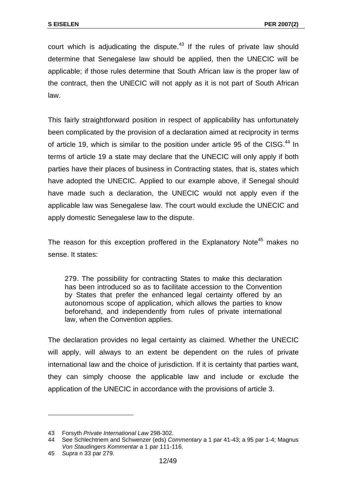court which is adjudicating the dispute. $43$  If the rules of private law should determine that Senegalese law should be applied, then the UNECIC will be applicable; if those rules determine that South African law is the proper law of the contract, then the UNECIC will not apply as it is not part of South African law.

This fairly straightforward position in respect of applicability has unfortunately been complicated by the provision of a declaration aimed at reciprocity in terms of article 19, which is similar to the position under article 95 of the CISG.<sup>44</sup> In terms of article 19 a state may declare that the UNECIC will only apply if both parties have their places of business in Contracting states, that is, states which have adopted the UNECIC. Applied to our example above, if Senegal should have made such a declaration, the UNECIC would not apply even if the applicable law was Senegalese law. The court would exclude the UNECIC and apply domestic Senegalese law to the dispute.

The reason for this exception proffered in the Explanatory Note<sup>45</sup> makes no sense. It states:

279. The possibility for contracting States to make this declaration has been introduced so as to facilitate accession to the Convention by States that prefer the enhanced legal certainty offered by an autonomous scope of application, which allows the parties to know beforehand, and independently from rules of private international law, when the Convention applies.

The declaration provides no legal certainty as claimed. Whether the UNECIC will apply, will always to an extent be dependent on the rules of private international law and the choice of jurisdiction. If it is certainty that parties want, they can simply choose the applicable law and include or exclude the application of the UNECIC in accordance with the provisions of article 3.

<sup>43</sup> Forsyth *Private International Law* 298-302.

<sup>44</sup> See Schlechtriem and Schwenzer (eds) *Commentary* a 1 par 41-43; a 95 par 1-4; Magnus *Von Staudingers Kommentar* a 1 par 111-116.

<sup>45</sup> *Supra* n 33 par 279.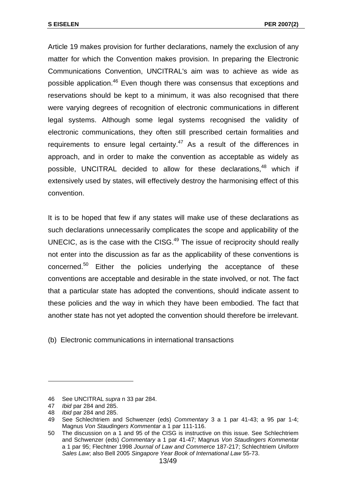Article 19 makes provision for further declarations, namely the exclusion of any matter for which the Convention makes provision. In preparing the Electronic Communications Convention, UNCITRAL's aim was to achieve as wide as possible application.<sup>46</sup> Even though there was consensus that exceptions and reservations should be kept to a minimum, it was also recognised that there were varying degrees of recognition of electronic communications in different legal systems. Although some legal systems recognised the validity of electronic communications, they often still prescribed certain formalities and requirements to ensure legal certainty.<sup>47</sup> As a result of the differences in approach, and in order to make the convention as acceptable as widely as possible, UNCITRAL decided to allow for these declarations,<sup>48</sup> which if extensively used by states, will effectively destroy the harmonising effect of this convention.

It is to be hoped that few if any states will make use of these declarations as such declarations unnecessarily complicates the scope and applicability of the UNECIC, as is the case with the CISG. $49$  The issue of reciprocity should really not enter into the discussion as far as the applicability of these conventions is concerned.<sup>50</sup> Either the policies underlying the acceptance of these conventions are acceptable and desirable in the state involved, or not. The fact that a particular state has adopted the conventions, should indicate assent to these policies and the way in which they have been embodied. The fact that another state has not yet adopted the convention should therefore be irrelevant.

(b) Electronic communications in international transactions

<sup>46</sup> See UNCITRAL *supra* n 33 par 284.

<sup>47</sup> *Ibid* par 284 and 285.

<sup>48</sup> *Ibid* par 284 and 285.

<sup>49</sup> See Schlechtriem and Schwenzer (eds) *Commentary* 3 a 1 par 41-43; a 95 par 1-4; Magnus *Von Staudingers Kommentar* a 1 par 111-116.

<sup>50</sup> The discussion on a 1 and 95 of the CISG is instructive on this issue. See Schlechtriem and Schwenzer (eds) *Commentary* a 1 par 41-47; Magnus *Von Staudingers Kommentar* a 1 par 95; Flechtner 1998 *Journal of Law and Commerce* 187-217; Schlechtriem *Uniform Sales Law*; also Bell 2005 *Singapore Year Book of International Law* 55-73.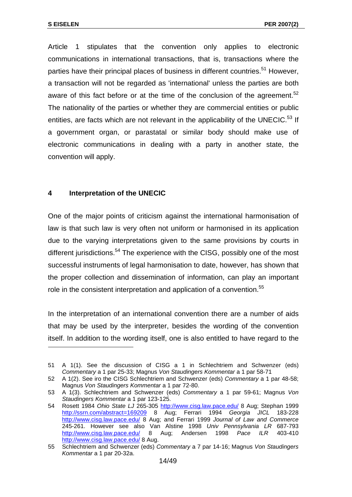Article 1 stipulates that the convention only applies to electronic communications in international transactions, that is, transactions where the parties have their principal places of business in different countries.<sup>51</sup> However, a transaction will not be regarded as 'international' unless the parties are both aware of this fact before or at the time of the conclusion of the agreement.<sup>52</sup> The nationality of the parties or whether they are commercial entities or public entities, are facts which are not relevant in the applicability of the UNECIC.<sup>53</sup> If a government organ, or parastatal or similar body should make use of electronic communications in dealing with a party in another state, the convention will apply.

#### **4 Interpretation of the UNECIC**

One of the major points of criticism against the international harmonisation of law is that such law is very often not uniform or harmonised in its application due to the varying interpretations given to the same provisions by courts in different jurisdictions.<sup>54</sup> The experience with the CISG, possibly one of the most successful instruments of legal harmonisation to date, however, has shown that the proper collection and dissemination of information, can play an important role in the consistent interpretation and application of a convention.<sup>55</sup>

In the interpretation of an international convention there are a number of aids that may be used by the interpreter, besides the wording of the convention itself. In addition to the wording itself, one is also entitled to have regard to the

<sup>51</sup> A 1(1). See the discussion of CISG a 1 in Schlechtriem and Schwenzer (eds) *Commentary* a 1 par 25-33; Magnus *Von Staudingers Kommentar* a 1 par 58-71

<sup>52</sup> A 1(2). See iro the CISG Schlechtriem and Schwenzer (eds) *Commentary* a 1 par 48-58; Magnus *Von Staudingers Kommentar* a 1 par 72-80.

<sup>53</sup> A 1(3). Schlechtriem and Schwenzer (eds) *Commentary* a 1 par 59-61; Magnus *Von Staudingers Kommentar* a 1 par 123-125.

<sup>54</sup> Rosett 1984 *Ohio State LJ* 265-305 [http://www.cisg.law.pace.edu/](http://www.cisg.law.pace.edu/cisg/biblio/bib2.html) 8 Aug; Stephan 1999 <http://ssrn.com/abstract=169209> 8 Aug; Ferrari 1994 *Georgia JICL* 183-228 [http://www.cisg.law.pace.edu/](http://www.cisg.law.pace.edu/cisg/biblio/franco.html) 8 Aug; and Ferrari 1999 *Journal of Law and Commerce* 245-261. However see also Van Alstine 1998 *Univ Pennsylvania LR* 687-793 [http://www.cisg.law.pace.edu/](http://www.cisg.law.pace.edu/cisg/biblio/alstine2.html) 8 Aug; Andersen 1998 *Pace ILR* 403-410 [http://www.cisg.law.pace.edu/](http://www.cisg.law.pace.edu/cisg/biblio/andersen1.html) 8 Aug.

<sup>55</sup> Schlechtriem and Schwenzer (eds) *Commentary* a 7 par 14-16; Magnus *Von Staudingers Kommentar* a 1 par 20-32a.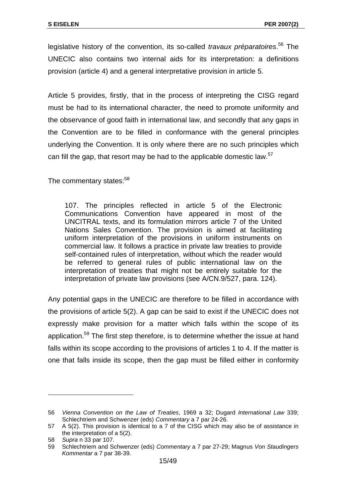legislative history of the convention, its so-called *travaux préparatoires*. <sup>56</sup> The UNECIC also contains two internal aids for its interpretation: a definitions provision (article 4) and a general interpretative provision in article 5.

Article 5 provides, firstly, that in the process of interpreting the CISG regard must be had to its international character, the need to promote uniformity and the observance of good faith in international law, and secondly that any gaps in the Convention are to be filled in conformance with the general principles underlying the Convention. It is only where there are no such principles which can fill the gap, that resort may be had to the applicable domestic law.<sup>57</sup>

The commentary states:<sup>58</sup>

107. The principles reflected in article 5 of the Electronic Communications Convention have appeared in most of the UNCITRAL texts, and its formulation mirrors article 7 of the United Nations Sales Convention. The provision is aimed at facilitating uniform interpretation of the provisions in uniform instruments on commercial law. It follows a practice in private law treaties to provide self-contained rules of interpretation, without which the reader would be referred to general rules of public international law on the interpretation of treaties that might not be entirely suitable for the interpretation of private law provisions (see A/CN.9/527, para. 124).

Any potential gaps in the UNECIC are therefore to be filled in accordance with the provisions of article 5(2). A gap can be said to exist if the UNECIC does not expressly make provision for a matter which falls within the scope of its application.<sup>59</sup> The first step therefore, is to determine whether the issue at hand falls within its scope according to the provisions of articles 1 to 4. If the matter is one that falls inside its scope, then the gap must be filled either in conformity

<sup>56</sup> *Vienna Convention on the Law of Treaties*, 1969 a 32; Dugard *International Law* 339; Schlechtriem and Schwenzer (eds) *Commentary* a 7 par 24-26.

<sup>57</sup> A 5(2). This provision is identical to a 7 of the CISG which may also be of assistance in the interpretation of a 5(2).

<sup>58</sup> *Supra* n 33 par 107.

<sup>59</sup> Schlechtriem and Schwenzer (eds) *Commentary* a 7 par 27-29; Magnus *Von Staudingers Kommentar* a 7 par 38-39.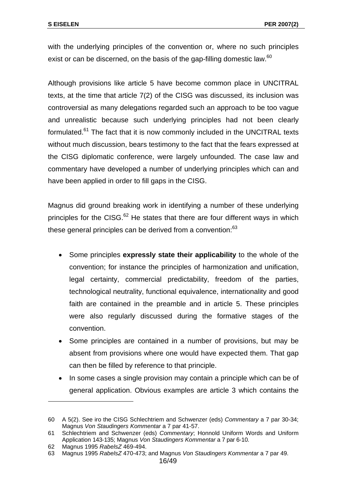with the underlying principles of the convention or, where no such principles exist or can be discerned, on the basis of the gap-filling domestic law.<sup>60</sup>

Although provisions like article 5 have become common place in UNCITRAL texts, at the time that article 7(2) of the CISG was discussed, its inclusion was controversial as many delegations regarded such an approach to be too vague and unrealistic because such underlying principles had not been clearly formulated.<sup>61</sup> The fact that it is now commonly included in the UNCITRAL texts without much discussion, bears testimony to the fact that the fears expressed at the CISG diplomatic conference, were largely unfounded. The case law and commentary have developed a number of underlying principles which can and have been applied in order to fill gaps in the CISG.

Magnus did ground breaking work in identifying a number of these underlying principles for the CISG.<sup>62</sup> He states that there are four different ways in which these general principles can be derived from a convention: $63$ 

- Some principles **expressly state their applicability** to the whole of the convention; for instance the principles of harmonization and unification, legal certainty, commercial predictability, freedom of the parties, technological neutrality, functional equivalence, internationality and good faith are contained in the preamble and in article 5. These principles were also regularly discussed during the formative stages of the convention.
- Some principles are contained in a number of provisions, but may be absent from provisions where one would have expected them. That gap can then be filled by reference to that principle.
- In some cases a single provision may contain a principle which can be of general application. Obvious examples are article 3 which contains the

<sup>60</sup> A 5(2). See iro the CISG Schlechtriem and Schwenzer (eds) *Commentary* a 7 par 30-34; Magnus *Von Staudingers Kommentar* a 7 par 41-57.

<sup>61</sup> Schlechtriem and Schwenzer (eds) *Commentary*; Honnold Uniform Words and Uniform Application 143-135; Magnus *Von Staudingers Kommentar* a 7 par 6-10.

<sup>62</sup> Magnus 1995 *RabelsZ* 469-494.

<sup>63</sup> Magnus 1995 *RabelsZ* 470-473; and Magnus *Von Staudingers Kommentar* a 7 par 49.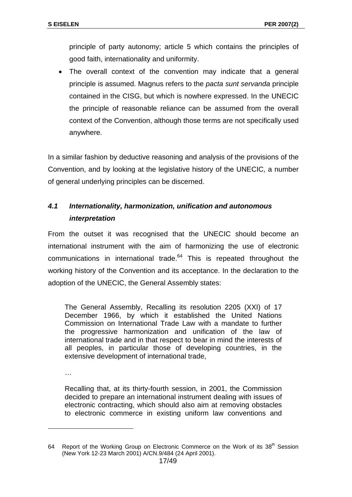principle of party autonomy; article 5 which contains the principles of good faith, internationality and uniformity.

• The overall context of the convention may indicate that a general principle is assumed. Magnus refers to the *pacta sunt servanda* principle contained in the CISG, but which is nowhere expressed. In the UNECIC the principle of reasonable reliance can be assumed from the overall context of the Convention, although those terms are not specifically used anywhere.

In a similar fashion by deductive reasoning and analysis of the provisions of the Convention, and by looking at the legislative history of the UNECIC, a number of general underlying principles can be discerned.

# *4.1 Internationality, harmonization, unification and autonomous interpretation*

From the outset it was recognised that the UNECIC should become an international instrument with the aim of harmonizing the use of electronic communications in international trade. $64$  This is repeated throughout the working history of the Convention and its acceptance. In the declaration to the adoption of the UNECIC, the General Assembly states:

The General Assembly, Recalling its resolution 2205 (XXI) of 17 December 1966, by which it established the United Nations Commission on International Trade Law with a mandate to further the progressive harmonization and unification of the law of international trade and in that respect to bear in mind the interests of all peoples, in particular those of developing countries, in the extensive development of international trade,

…

Recalling that, at its thirty-fourth session, in 2001, the Commission decided to prepare an international instrument dealing with issues of electronic contracting, which should also aim at removing obstacles to electronic commerce in existing uniform law conventions and

<sup>64</sup> Report of the Working Group on Electronic Commerce on the Work of its 38<sup>th</sup> Session (New York 12-23 March 2001) A/CN.9/484 (24 April 2001).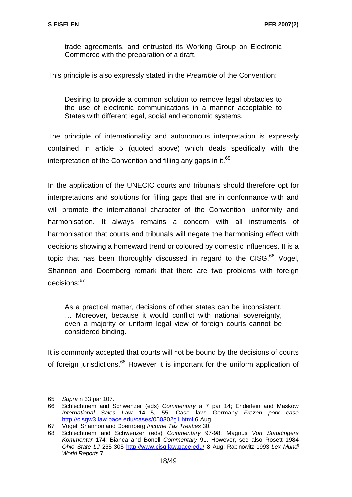trade agreements, and entrusted its Working Group on Electronic Commerce with the preparation of a draft.

This principle is also expressly stated in the *Preamble* of the Convention:

Desiring to provide a common solution to remove legal obstacles to the use of electronic communications in a manner acceptable to States with different legal, social and economic systems,

The principle of internationality and autonomous interpretation is expressly contained in article 5 (quoted above) which deals specifically with the interpretation of the Convention and filling any gaps in it.<sup>65</sup>

In the application of the UNECIC courts and tribunals should therefore opt for interpretations and solutions for filling gaps that are in conformance with and will promote the international character of the Convention, uniformity and harmonisation. It always remains a concern with all instruments of harmonisation that courts and tribunals will negate the harmonising effect with decisions showing a homeward trend or coloured by domestic influences. It is a topic that has been thoroughly discussed in regard to the CISG.<sup>66</sup> Vogel, Shannon and Doernberg remark that there are two problems with foreign decisions:67

As a practical matter, decisions of other states can be inconsistent. … Moreover, because it would conflict with national sovereignty, even a majority or uniform legal view of foreign courts cannot be considered binding.

It is commonly accepted that courts will not be bound by the decisions of courts of foreign jurisdictions.<sup>68</sup> However it is important for the uniform application of

<sup>65</sup> *Supra* n 33 par 107.

<sup>66</sup> Schlechtriem and Schwenzer (eds) *Commentary* a 7 par 14; Enderlein and Maskow *International Sales Law* 14-15, 55; Case law: Germany *Frozen pork case* <http://cisgw3.law.pace.edu/cases/050302g1.html> 6 Aug.

<sup>67</sup> Vogel, Shannon and Doernberg *Income Tax Treaties* 30.

<sup>68</sup> Schlechtriem and Schwenzer (eds) *Commentary* 97-98; Magnus *Von Staudingers Kommentar* 174; Bianca and Bonell *Commentary* 91. However, see also Rosett 1984 *Ohio State LJ* 265-305 [http://www.cisg.law.pace.edu/](http://www.cisg.law.pace.edu/cisg/biblio/bib2.html) 8 Aug; Rabinowitz 1993 *Lex Mundi World Reports* 7.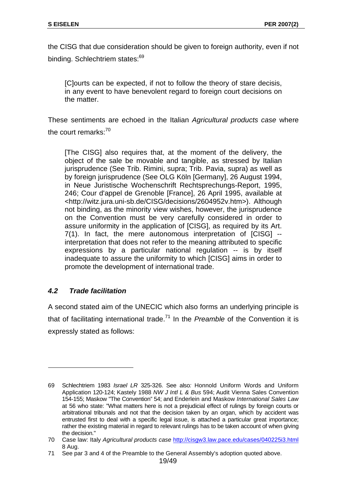the CISG that due consideration should be given to foreign authority, even if not binding. Schlechtriem states:<sup>69</sup>

[C]ourts can be expected, if not to follow the theory of stare decisis, in any event to have benevolent regard to foreign court decisions on the matter.

These sentiments are echoed in the Italian *Agricultural products case* where the court remarks:<sup>70</sup>

[The CISG] also requires that, at the moment of the delivery, the object of the sale be movable and tangible, as stressed by Italian jurisprudence (See Trib. Rimini, supra; Trib. Pavia, supra) as well as by foreign jurisprudence (See OLG Köln [Germany], 26 August 1994, in Neue Juristische Wochenschrift Rechtsprechungs-Report, 1995, 246; Cour d'appel de Grenoble [France], 26 April 1995, available at <http://witz.jura.uni-sb.de/CISG/decisions/2604952v.htm>). Although not binding, as the minority view wishes, however, the jurisprudence on the Convention must be very carefully considered in order to assure uniformity in the application of [CISG], as required by its Art. 7(1). In fact, the mere autonomous interpretation of [CISG] - interpretation that does not refer to the meaning attributed to specific expressions by a particular national regulation -- is by itself inadequate to assure the uniformity to which [CISG] aims in order to promote the development of international trade.

## *4.2 Trade facilitation*

A second stated aim of the UNECIC which also forms an underlying principle is that of facilitating international trade.<sup>71</sup> In the *Preamble* of the Convention it is expressly stated as follows:

<sup>69</sup> Schlechtriem 1983 *Israel LR* 325-326. See also*:* Honnold Uniform Words and Uniform Application 120-124; Kastely 1988 *NW J Intl L & Bus* 594; Audit Vienna Sales Convention 154-155; Maskow "The Convention" 54; and Enderlein and Maskow *International Sales Law* at 56 who state: "What matters here is not a prejudicial effect of rulings by foreign courts or arbitrational tribunals and not that the decision taken by an organ, which by accident was entrusted first to deal with a specific legal issue, is attached a particular great importance; rather the existing material in regard to relevant rulings has to be taken account of when giving the decision."

<sup>70</sup> Case law: Italy *Agricultural products case* <http://cisgw3.law.pace.edu/cases/040225i3.html> 8 Aug.

<sup>71</sup> See par 3 and 4 of the Preamble to the General Assembly's adoption quoted above.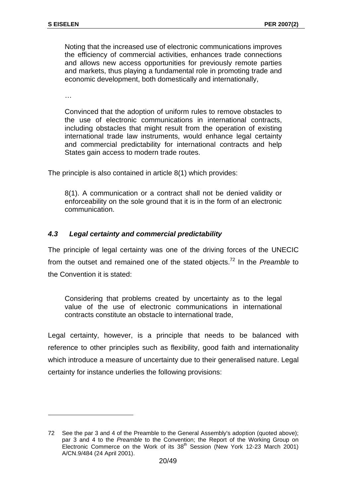Noting that the increased use of electronic communications improves the efficiency of commercial activities, enhances trade connections and allows new access opportunities for previously remote parties and markets, thus playing a fundamental role in promoting trade and economic development, both domestically and internationally,

…

Convinced that the adoption of uniform rules to remove obstacles to the use of electronic communications in international contracts, including obstacles that might result from the operation of existing international trade law instruments, would enhance legal certainty and commercial predictability for international contracts and help States gain access to modern trade routes.

The principle is also contained in article 8(1) which provides:

8(1). A communication or a contract shall not be denied validity or enforceability on the sole ground that it is in the form of an electronic communication.

### *4.3 Legal certainty and commercial predictability*

The principle of legal certainty was one of the driving forces of the UNECIC from the outset and remained one of the stated objects.72 In the *Preamble* to the Convention it is stated:

Considering that problems created by uncertainty as to the legal value of the use of electronic communications in international contracts constitute an obstacle to international trade,

Legal certainty, however, is a principle that needs to be balanced with reference to other principles such as flexibility, good faith and internationality which introduce a measure of uncertainty due to their generalised nature. Legal certainty for instance underlies the following provisions:

<sup>72</sup> See the par 3 and 4 of the Preamble to the General Assembly's adoption (quoted above); par 3 and 4 to the *Preamble* to the Convention; the Report of the Working Group on Electronic Commerce on the Work of its  $38<sup>th</sup>$  Session (New York 12-23 March 2001) A/CN.9/484 (24 April 2001).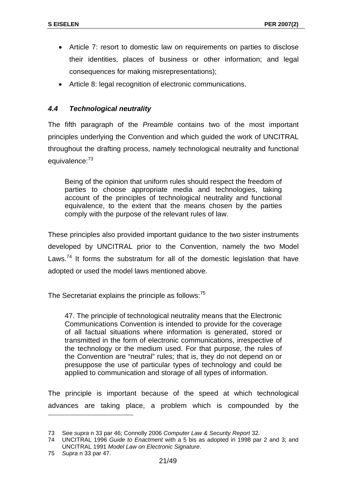- Article 7: resort to domestic law on requirements on parties to disclose their identities, places of business or other information; and legal consequences for making misrepresentations);
- Article 8: legal recognition of electronic communications.

## *4.4 Technological neutrality*

The fifth paragraph of the *Preamble* contains two of the most important principles underlying the Convention and which guided the work of UNCITRAL throughout the drafting process, namely technological neutrality and functional equivalence:<sup>73</sup>

Being of the opinion that uniform rules should respect the freedom of parties to choose appropriate media and technologies, taking account of the principles of technological neutrality and functional equivalence, to the extent that the means chosen by the parties comply with the purpose of the relevant rules of law.

These principles also provided important guidance to the two sister instruments developed by UNCITRAL prior to the Convention, namely the two Model Laws.<sup>74</sup> It forms the substratum for all of the domestic legislation that have adopted or used the model laws mentioned above.

The Secretariat explains the principle as follows:<sup>75</sup>

47. The principle of technological neutrality means that the Electronic Communications Convention is intended to provide for the coverage of all factual situations where information is generated, stored or transmitted in the form of electronic communications, irrespective of the technology or the medium used. For that purpose, the rules of the Convention are "neutral" rules; that is, they do not depend on or presuppose the use of particular types of technology and could be applied to communication and storage of all types of information.

The principle is important because of the speed at which technological advances are taking place, a problem which is compounded by the

<sup>73</sup> See *supra* n 33 par 46; Connolly 2006 *Computer Law & Security Report* 32.

<sup>74</sup> UNCITRAL 1996 *Guide to Enactment* with a 5 bis as adopted in 1998 par 2 and 3; and UNCITRAL 1991 *Model Law on Electronic Signature*.

<sup>75</sup> *Supra* n 33 par 47.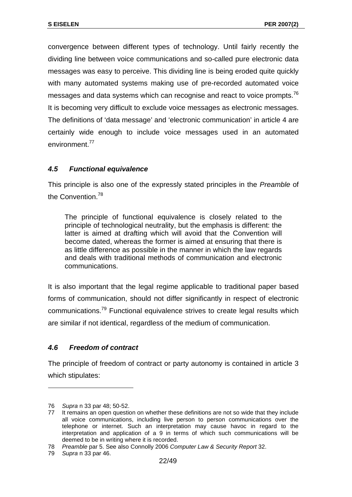convergence between different types of technology. Until fairly recently the dividing line between voice communications and so-called pure electronic data messages was easy to perceive. This dividing line is being eroded quite quickly with many automated systems making use of pre-recorded automated voice messages and data systems which can recognise and react to voice prompts.<sup>76</sup> It is becoming very difficult to exclude voice messages as electronic messages. The definitions of 'data message' and 'electronic communication' in article 4 are certainly wide enough to include voice messages used in an automated environment.77

### *4.5 Functional equivalence*

This principle is also one of the expressly stated principles in the *Preamble* of the Convention.<sup>78</sup>

The principle of functional equivalence is closely related to the principle of technological neutrality, but the emphasis is different: the latter is aimed at drafting which will avoid that the Convention will become dated, whereas the former is aimed at ensuring that there is as little difference as possible in the manner in which the law regards and deals with traditional methods of communication and electronic communications.

It is also important that the legal regime applicable to traditional paper based forms of communication, should not differ significantly in respect of electronic communications.79 Functional equivalence strives to create legal results which are similar if not identical, regardless of the medium of communication.

### *4.6 Freedom of contract*

The principle of freedom of contract or party autonomy is contained in article 3 which stipulates:

<sup>76</sup> *Supra* n 33 par 48; 50-52.

<sup>77</sup> It remains an open question on whether these definitions are not so wide that they include all voice communications, including live person to person communications over the telephone or internet. Such an interpretation may cause havoc in regard to the interpretation and application of a 9 in terms of which such communications will be deemed to be in writing where it is recorded.

<sup>78</sup> *Preamble* par 5. See also Connolly 2006 *Computer Law & Security Report* 32.

<sup>79</sup> *Supra* n 33 par 46.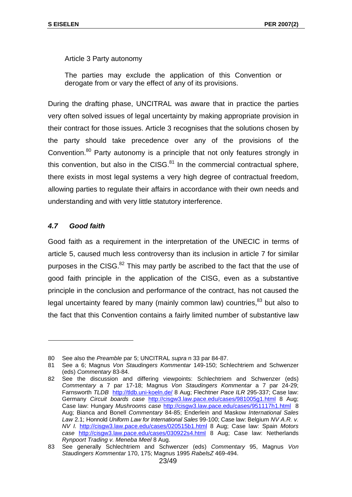Article 3 Party autonomy

The parties may exclude the application of this Convention or derogate from or vary the effect of any of its provisions.

During the drafting phase, UNCITRAL was aware that in practice the parties very often solved issues of legal uncertainty by making appropriate provision in their contract for those issues. Article 3 recognises that the solutions chosen by the party should take precedence over any of the provisions of the Convention.<sup>80</sup> Party autonomy is a principle that not only features strongly in this convention, but also in the CISG. $81$  In the commercial contractual sphere, there exists in most legal systems a very high degree of contractual freedom, allowing parties to regulate their affairs in accordance with their own needs and understanding and with very little statutory interference.

## *4.7 Good faith*

Good faith as a requirement in the interpretation of the UNECIC in terms of article 5, caused much less controversy than its inclusion in article 7 for similar purposes in the CISG. $^{82}$  This may partly be ascribed to the fact that the use of good faith principle in the application of the CISG, even as a substantive principle in the conclusion and performance of the contract, has not caused the legal uncertainty feared by many (mainly common law) countries, $^{83}$  but also to the fact that this Convention contains a fairly limited number of substantive law

<sup>80</sup> See also the *Preamble* par 5; UNCITRAL *supra* n 33 par 84-87.

<sup>81</sup> See a 6; Magnus *Von Staudingers Kommentar* 149-150; Schlechtriem and Schwenzer (eds) *Commentary* 83-84.

<sup>82</sup> See the discussion and differing viewpoints: Schlechtriem and Schwenzer (eds) *Commentary* a 7 par 17-18; Magnus *Von Staudingers Kommentar* a 7 par 24-29; Farnsworth *TLDB* [http://tldb.uni-koeln.de/](http://tldb.uni-koeln.de/php/pub_show_document.php?pubdocid=122100) 8 Aug; Flechtner *Pace ILR* 295-337; Case law: Germany *Circuit boards case* <http://cisgw3.law.pace.edu/cases/981005g1.html> 8 Aug; Case law: Hungary *Mushrooms case* <http://cisgw3.law.pace.edu/cases/951117h1.html> 8 Aug; Bianca and Bonell *Commentary* 84-85; Enderlein and Maskow *International Sales Law* 2.1; Honnold *Uniform Law for International Sales* 99-100; Case law: Belgium *NV A.R. v. NV I.* <http://cisgw3.law.pace.edu/cases/020515b1.html> 8 Aug; Case law: Spain *Motors case* <http://cisgw3.law.pace.edu/cases/030922s4.html> 8 Aug; Case law: Netherlands *Rynpoort Trading v. Meneba Meel* 8 Aug.

<sup>83</sup> See generally Schlechtriem and Schwenzer (eds) *Commentary* 95, Magnus *Von Staudingers Kommentar* 170, 175; Magnus 1995 *RabelsZ* 469-494.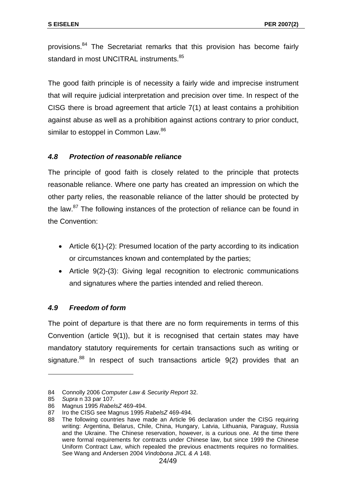provisions.84 The Secretariat remarks that this provision has become fairly standard in most UNCITRAL instruments.<sup>85</sup>

The good faith principle is of necessity a fairly wide and imprecise instrument that will require judicial interpretation and precision over time. In respect of the CISG there is broad agreement that article 7(1) at least contains a prohibition against abuse as well as a prohibition against actions contrary to prior conduct, similar to estoppel in Common Law.<sup>86</sup>

## *4.8 Protection of reasonable reliance*

The principle of good faith is closely related to the principle that protects reasonable reliance. Where one party has created an impression on which the other party relies, the reasonable reliance of the latter should be protected by the law.<sup>87</sup> The following instances of the protection of reliance can be found in the Convention:

- Article 6(1)-(2): Presumed location of the party according to its indication or circumstances known and contemplated by the parties;
- Article 9(2)-(3): Giving legal recognition to electronic communications and signatures where the parties intended and relied thereon.

### *4.9 Freedom of form*

The point of departure is that there are no form requirements in terms of this Convention (article 9(1)), but it is recognised that certain states may have mandatory statutory requirements for certain transactions such as writing or signature.<sup>88</sup> In respect of such transactions article  $9(2)$  provides that an

<sup>84</sup> Connolly 2006 *Computer Law & Security Report* 32.

<sup>85</sup> *Supra* n 33 par 107.

<sup>86</sup> Magnus 1995 *RabelsZ* 469-494.

<sup>87</sup> Iro the CISG see Magnus 1995 *RabelsZ* 469-494.

<sup>88</sup> The following countries have made an Article 96 declaration under the CISG requiring writing: Argentina, Belarus, Chile, China, Hungary, Latvia, Lithuania, Paraguay, Russia and the Ukraine. The Chinese reservation, however, is a curious one. At the time there were formal requirements for contracts under Chinese law, but since 1999 the Chinese Uniform Contract Law, which repealed the previous enactments requires no formalities. See Wang and Andersen 2004 *Vindobona JICL & A* 148.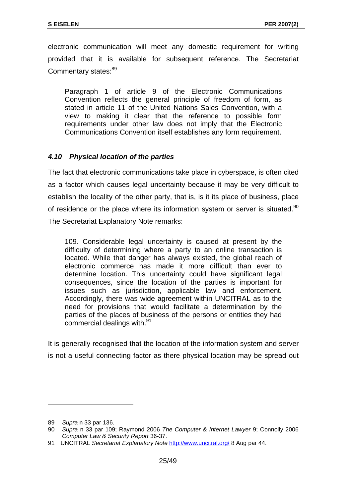electronic communication will meet any domestic requirement for writing provided that it is available for subsequent reference. The Secretariat Commentary states:<sup>89</sup>

Paragraph 1 of article 9 of the Electronic Communications Convention reflects the general principle of freedom of form, as stated in article 11 of the United Nations Sales Convention, with a view to making it clear that the reference to possible form requirements under other law does not imply that the Electronic Communications Convention itself establishes any form requirement.

### *4.10 Physical location of the parties*

The fact that electronic communications take place in cyberspace, is often cited as a factor which causes legal uncertainty because it may be very difficult to establish the locality of the other party, that is, is it its place of business, place of residence or the place where its information system or server is situated.<sup>90</sup> The Secretariat Explanatory Note remarks:

109. Considerable legal uncertainty is caused at present by the difficulty of determining where a party to an online transaction is located. While that danger has always existed, the global reach of electronic commerce has made it more difficult than ever to determine location. This uncertainty could have significant legal consequences, since the location of the parties is important for issues such as jurisdiction, applicable law and enforcement. Accordingly, there was wide agreement within UNCITRAL as to the need for provisions that would facilitate a determination by the parties of the places of business of the persons or entities they had commercial dealings with.<sup>91</sup>

It is generally recognised that the location of the information system and server is not a useful connecting factor as there physical location may be spread out

 $\overline{a}$ 

<sup>89</sup> *Supra* n 33 par 136.

<sup>90</sup> *Supra* n 33 par 109; Raymond 2006 *The Computer & Internet Lawyer* 9; Connolly 2006 *Computer Law & Security Report* 36-37.

<sup>91</sup> UNCITRAL *Secretariat Explanatory Note* [http://www.uncitral.org/](http://www.uncitral.org/pdf/english/texts/electcom/06-57452_Ebook.pdf) 8 Aug par 44.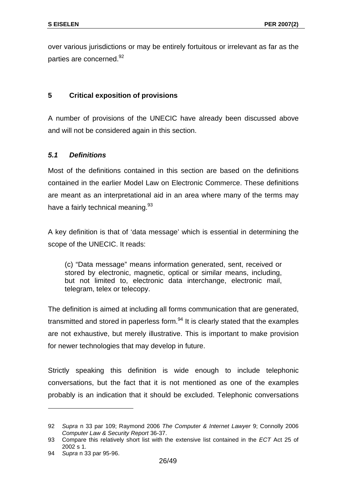over various jurisdictions or may be entirely fortuitous or irrelevant as far as the parties are concerned.<sup>92</sup>

## **5 Critical exposition of provisions**

A number of provisions of the UNECIC have already been discussed above and will not be considered again in this section.

## *5.1 Definitions*

Most of the definitions contained in this section are based on the definitions contained in the earlier Model Law on Electronic Commerce. These definitions are meant as an interpretational aid in an area where many of the terms may have a fairly technical meaning.<sup>93</sup>

A key definition is that of 'data message' which is essential in determining the scope of the UNECIC. It reads:

(c) "Data message" means information generated, sent, received or stored by electronic, magnetic, optical or similar means, including, but not limited to, electronic data interchange, electronic mail, telegram, telex or telecopy.

The definition is aimed at including all forms communication that are generated, transmitted and stored in paperless form. $94$  It is clearly stated that the examples are not exhaustive, but merely illustrative. This is important to make provision for newer technologies that may develop in future.

Strictly speaking this definition is wide enough to include telephonic conversations, but the fact that it is not mentioned as one of the examples probably is an indication that it should be excluded. Telephonic conversations

<sup>92</sup> *Supra* n 33 par 109; Raymond 2006 *The Computer & Internet Lawyer* 9; Connolly 2006 *Computer Law & Security Report* 36-37.

<sup>93</sup> Compare this relatively short list with the extensive list contained in the *ECT* Act 25 of 2002 s 1.

<sup>94</sup> *Supra* n 33 par 95-96.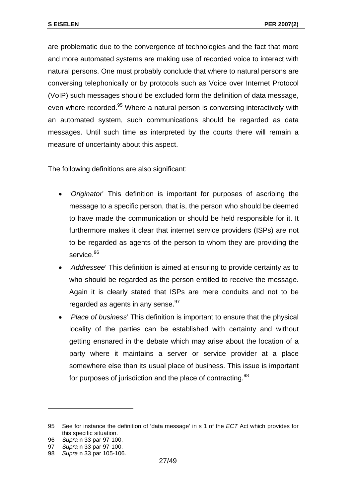are problematic due to the convergence of technologies and the fact that more and more automated systems are making use of recorded voice to interact with natural persons. One must probably conclude that where to natural persons are conversing telephonically or by protocols such as Voice over Internet Protocol (VoIP) such messages should be excluded form the definition of data message, even where recorded.<sup>95</sup> Where a natural person is conversing interactively with an automated system, such communications should be regarded as data messages. Until such time as interpreted by the courts there will remain a measure of uncertainty about this aspect.

The following definitions are also significant:

- '*Originator*' This definition is important for purposes of ascribing the message to a specific person, that is, the person who should be deemed to have made the communication or should be held responsible for it. It furthermore makes it clear that internet service providers (ISPs) are not to be regarded as agents of the person to whom they are providing the service. 96
- '*Addressee*' This definition is aimed at ensuring to provide certainty as to who should be regarded as the person entitled to receive the message. Again it is clearly stated that ISPs are mere conduits and not to be regarded as agents in any sense. $97$
- '*Place of business*' This definition is important to ensure that the physical locality of the parties can be established with certainty and without getting ensnared in the debate which may arise about the location of a party where it maintains a server or service provider at a place somewhere else than its usual place of business. This issue is important for purposes of jurisdiction and the place of contracting.<sup>98</sup>

<sup>95</sup> See for instance the definition of 'data message' in s 1 of the *ECT* Act which provides for this specific situation.

<sup>96</sup> *Supra* n 33 par 97-100.

<sup>97</sup> *Supra* n 33 par 97-100.

<sup>98</sup> *Supra* n 33 par 105-106.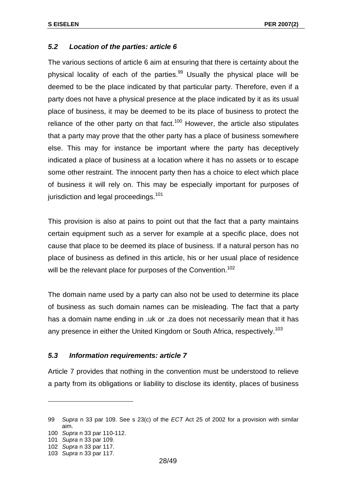#### *5.2 Location of the parties: article 6*

The various sections of article 6 aim at ensuring that there is certainty about the physical locality of each of the parties.<sup>99</sup> Usually the physical place will be deemed to be the place indicated by that particular party. Therefore, even if a party does not have a physical presence at the place indicated by it as its usual place of business, it may be deemed to be its place of business to protect the reliance of the other party on that fact.<sup>100</sup> However, the article also stipulates that a party may prove that the other party has a place of business somewhere else. This may for instance be important where the party has deceptively indicated a place of business at a location where it has no assets or to escape some other restraint. The innocent party then has a choice to elect which place of business it will rely on. This may be especially important for purposes of jurisdiction and legal proceedings.<sup>101</sup>

This provision is also at pains to point out that the fact that a party maintains certain equipment such as a server for example at a specific place, does not cause that place to be deemed its place of business. If a natural person has no place of business as defined in this article, his or her usual place of residence will be the relevant place for purposes of the Convention.<sup>102</sup>

The domain name used by a party can also not be used to determine its place of business as such domain names can be misleading. The fact that a party has a domain name ending in .uk or .za does not necessarily mean that it has any presence in either the United Kingdom or South Africa, respectively.<sup>103</sup>

#### *5.3 Information requirements: article 7*

Article 7 provides that nothing in the convention must be understood to relieve a party from its obligations or liability to disclose its identity, places of business

<sup>99</sup> *Supra* n 33 par 109. See s 23(c) of the *ECT* Act 25 of 2002 for a provision with similar aim.

<sup>100</sup> *Supra* n 33 par 110-112.

<sup>101</sup> *Supra* n 33 par 109.

<sup>102</sup> *Supra* n 33 par 117. 103 *Supra* n 33 par 117.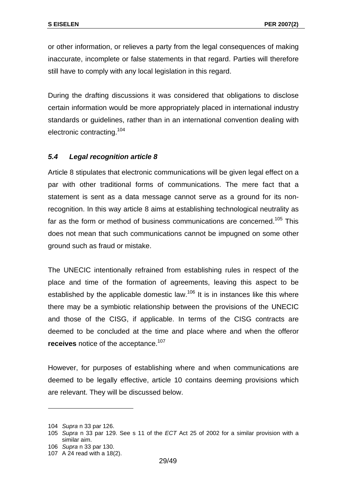or other information, or relieves a party from the legal consequences of making inaccurate, incomplete or false statements in that regard. Parties will therefore still have to comply with any local legislation in this regard.

During the drafting discussions it was considered that obligations to disclose certain information would be more appropriately placed in international industry standards or guidelines, rather than in an international convention dealing with electronic contracting.104

#### *5.4 Legal recognition article 8*

Article 8 stipulates that electronic communications will be given legal effect on a par with other traditional forms of communications. The mere fact that a statement is sent as a data message cannot serve as a ground for its nonrecognition. In this way article 8 aims at establishing technological neutrality as far as the form or method of business communications are concerned.<sup>105</sup> This does not mean that such communications cannot be impugned on some other ground such as fraud or mistake.

The UNECIC intentionally refrained from establishing rules in respect of the place and time of the formation of agreements, leaving this aspect to be established by the applicable domestic law.<sup>106</sup> It is in instances like this where there may be a symbiotic relationship between the provisions of the UNECIC and those of the CISG, if applicable. In terms of the CISG contracts are deemed to be concluded at the time and place where and when the offeror **receives** notice of the acceptance.<sup>107</sup>

However, for purposes of establishing where and when communications are deemed to be legally effective, article 10 contains deeming provisions which are relevant. They will be discussed below.

<sup>104</sup> *Supra* n 33 par 126.

<sup>105</sup> *Supra* n 33 par 129. See s 11 of the *ECT* Act 25 of 2002 for a similar provision with a similar aim.

<sup>106</sup> *Supra* n 33 par 130.

<sup>107</sup> A 24 read with a 18(2).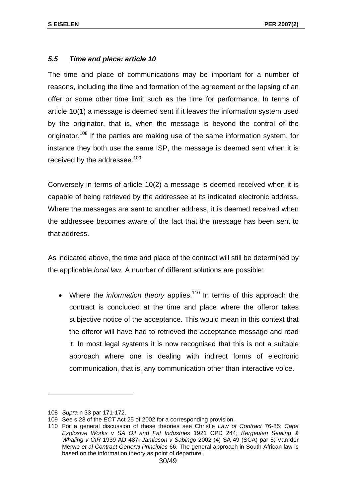#### *5.5 Time and place: article 10*

The time and place of communications may be important for a number of reasons, including the time and formation of the agreement or the lapsing of an offer or some other time limit such as the time for performance. In terms of article 10(1) a message is deemed sent if it leaves the information system used by the originator, that is, when the message is beyond the control of the originator.<sup>108</sup> If the parties are making use of the same information system, for instance they both use the same ISP, the message is deemed sent when it is received by the addressee.<sup>109</sup>

Conversely in terms of article 10(2) a message is deemed received when it is capable of being retrieved by the addressee at its indicated electronic address. Where the messages are sent to another address, it is deemed received when the addressee becomes aware of the fact that the message has been sent to that address.

As indicated above, the time and place of the contract will still be determined by the applicable *local law*. A number of different solutions are possible:

• Where the *information theory* applies.<sup>110</sup> In terms of this approach the contract is concluded at the time and place where the offeror takes subjective notice of the acceptance. This would mean in this context that the offeror will have had to retrieved the acceptance message and read it. In most legal systems it is now recognised that this is not a suitable approach where one is dealing with indirect forms of electronic communication, that is, any communication other than interactive voice.

<sup>108</sup> *Supra* n 33 par 171-172.

<sup>109</sup> See s 23 of the *ECT* Act 25 of 2002 for a corresponding provision.

<sup>110</sup> For a general discussion of these theories see Christie *Law of Contract* 76-85; *Cape Explosive Works v SA Oil and Fat Industries* 1921 CPD 244; *Kergeulen Sealing & Whaling v CIR* 1939 AD 487; *Jamieson v Sabingo* 2002 (4) SA 49 (SCA) par 5; Van der Merwe *et al Contract General Principles* 66. The general approach in South African law is based on the information theory as point of departure.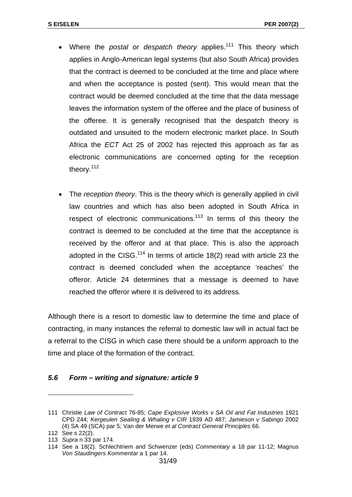- Where the *postal or despatch theory* applies.111 This theory which applies in Anglo-American legal systems (but also South Africa) provides that the contract is deemed to be concluded at the time and place where and when the acceptance is posted (sent). This would mean that the contract would be deemed concluded at the time that the data message leaves the information system of the offeree and the place of business of the offeree. It is generally recognised that the despatch theory is outdated and unsuited to the modern electronic market place. In South Africa the *ECT* Act 25 of 2002 has rejected this approach as far as electronic communications are concerned opting for the reception theory.112
- The *reception theory*. This is the theory which is generally applied in civil law countries and which has also been adopted in South Africa in respect of electronic communications.<sup>113</sup> In terms of this theory the contract is deemed to be concluded at the time that the acceptance is received by the offeror and at that place. This is also the approach adopted in the CISG.<sup>114</sup> In terms of article 18(2) read with article 23 the contract is deemed concluded when the acceptance 'reaches' the offeror. Article 24 determines that a message is deemed to have reached the offeror where it is delivered to its address.

Although there is a resort to domestic law to determine the time and place of contracting, in many instances the referral to domestic law will in actual fact be a referral to the CISG in which case there should be a uniform approach to the time and place of the formation of the contract.

### *5.6 Form – writing and signature: article 9*

<sup>111</sup> Christie *Law of Contract* 76-85; *Cape Explosive Works v SA Oil and Fat Industries* 1921 CPD 244; *Kergeulen Sealing & Whaling v CIR* 1939 AD 487; *Jamieson v Sabingo* 2002 (4) SA 49 (SCA) par 5; Van der Merwe *et al Contract General Principles* 66.

<sup>112</sup> See s 22(2).

<sup>113</sup> *Supra* n 33 par 174.

<sup>114</sup> See a 18(2). Schlechtriem and Schwenzer (eds) *Commentary* a 18 par 11-12; Magnus *Von Staudingers Kommentar* a 1 par 14.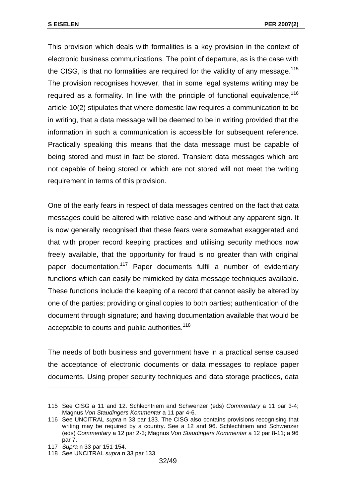This provision which deals with formalities is a key provision in the context of electronic business communications. The point of departure, as is the case with the CISG, is that no formalities are required for the validity of any message.<sup>115</sup> The provision recognises however, that in some legal systems writing may be required as a formality. In line with the principle of functional equivalence.<sup>116</sup> article 10(2) stipulates that where domestic law requires a communication to be in writing, that a data message will be deemed to be in writing provided that the information in such a communication is accessible for subsequent reference. Practically speaking this means that the data message must be capable of being stored and must in fact be stored. Transient data messages which are not capable of being stored or which are not stored will not meet the writing requirement in terms of this provision.

One of the early fears in respect of data messages centred on the fact that data messages could be altered with relative ease and without any apparent sign. It is now generally recognised that these fears were somewhat exaggerated and that with proper record keeping practices and utilising security methods now freely available, that the opportunity for fraud is no greater than with original paper documentation.<sup>117</sup> Paper documents fulfil a number of evidentiary functions which can easily be mimicked by data message techniques available. These functions include the keeping of a record that cannot easily be altered by one of the parties; providing original copies to both parties; authentication of the document through signature; and having documentation available that would be acceptable to courts and public authorities.<sup>118</sup>

The needs of both business and government have in a practical sense caused the acceptance of electronic documents or data messages to replace paper documents. Using proper security techniques and data storage practices, data

<sup>115</sup> See CISG a 11 and 12. Schlechtriem and Schwenzer (eds) *Commentary* a 11 par 3-4; Magnus *Von Staudingers Kommentar* a 11 par 4-6.

<sup>116</sup> See UNCITRAL *supra* n 33 par 133. The CISG also contains provisions recognising that writing may be required by a country. See a 12 and 96. Schlechtriem and Schwenzer (eds) *Commentary* a 12 par 2-3; Magnus *Von Staudingers Kommentar* a 12 par 8-11; a 96 par 7.

<sup>117</sup> *Supra* n 33 par 151-154.

<sup>118</sup> See UNCITRAL *supra* n 33 par 133.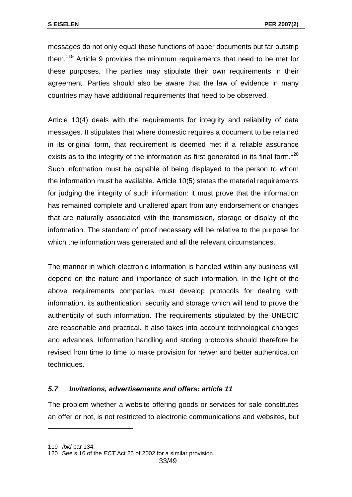messages do not only equal these functions of paper documents but far outstrip them.119 Article 9 provides the minimum requirements that need to be met for these purposes. The parties may stipulate their own requirements in their agreement. Parties should also be aware that the law of evidence in many countries may have additional requirements that need to be observed.

Article 10(4) deals with the requirements for integrity and reliability of data messages. It stipulates that where domestic requires a document to be retained in its original form, that requirement is deemed met if a reliable assurance exists as to the integrity of the information as first generated in its final form.<sup>120</sup> Such information must be capable of being displayed to the person to whom the information must be available. Article 10(5) states the material requirements for judging the integrity of such information: it must prove that the information has remained complete and unaltered apart from any endorsement or changes that are naturally associated with the transmission, storage or display of the information. The standard of proof necessary will be relative to the purpose for which the information was generated and all the relevant circumstances.

The manner in which electronic information is handled within any business will depend on the nature and importance of such information. In the light of the above requirements companies must develop protocols for dealing with information, its authentication, security and storage which will tend to prove the authenticity of such information. The requirements stipulated by the UNECIC are reasonable and practical. It also takes into account technological changes and advances. Information handling and storing protocols should therefore be revised from time to time to make provision for newer and better authentication techniques.

#### *5.7 Invitations, advertisements and offers: article 11*

The problem whether a website offering goods or services for sale constitutes an offer or not, is not restricted to electronic communications and websites, but

<sup>119</sup> *Ibid* par 134.

<sup>120</sup> See s 16 of the *ECT* Act 25 of 2002 for a similar provision.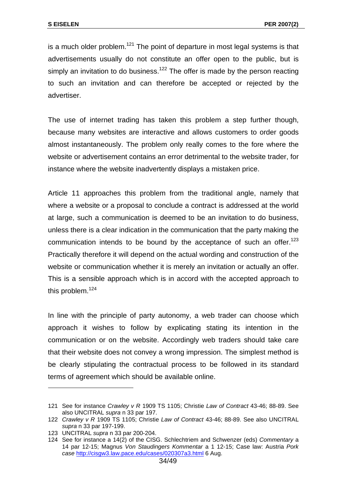is a much older problem.<sup>121</sup> The point of departure in most legal systems is that advertisements usually do not constitute an offer open to the public, but is simply an invitation to do business.<sup>122</sup> The offer is made by the person reacting to such an invitation and can therefore be accepted or rejected by the advertiser.

The use of internet trading has taken this problem a step further though, because many websites are interactive and allows customers to order goods almost instantaneously. The problem only really comes to the fore where the website or advertisement contains an error detrimental to the website trader, for instance where the website inadvertently displays a mistaken price.

Article 11 approaches this problem from the traditional angle, namely that where a website or a proposal to conclude a contract is addressed at the world at large, such a communication is deemed to be an invitation to do business, unless there is a clear indication in the communication that the party making the communication intends to be bound by the acceptance of such an offer.<sup>123</sup> Practically therefore it will depend on the actual wording and construction of the website or communication whether it is merely an invitation or actually an offer. This is a sensible approach which is in accord with the accepted approach to this problem.<sup>124</sup>

In line with the principle of party autonomy, a web trader can choose which approach it wishes to follow by explicating stating its intention in the communication or on the website. Accordingly web traders should take care that their website does not convey a wrong impression. The simplest method is be clearly stipulating the contractual process to be followed in its standard terms of agreement which should be available online.

<sup>121</sup> See for instance *Crawley v R* 1909 TS 1105; Christie *Law of Contract* 43-46; 88-89. See also UNCITRAL *supra* n 33 par 197.

<sup>122</sup> *Crawley v R* 1909 TS 1105; Christie *Law of Contract* 43-46; 88-89. See also UNCITRAL *supra* n 33 par 197-199.

<sup>123</sup> UNCITRAL *supra* n 33 par 200-204.

<sup>124</sup> See for instance a 14(2) of the CISG. Schlechtriem and Schwenzer (eds) *Commentary* a 14 par 12-15; Magnus *Von Staudingers Kommentar* a 1 12-15; Case law: Austria *Pork case* <http://cisgw3.law.pace.edu/cases/020307a3.html> 6 Aug.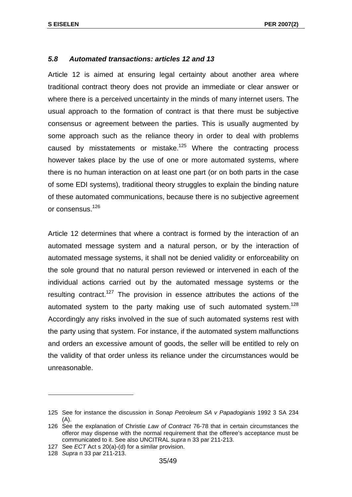#### *5.8 Automated transactions: articles 12 and 13*

Article 12 is aimed at ensuring legal certainty about another area where traditional contract theory does not provide an immediate or clear answer or where there is a perceived uncertainty in the minds of many internet users. The usual approach to the formation of contract is that there must be subjective consensus or agreement between the parties. This is usually augmented by some approach such as the reliance theory in order to deal with problems caused by misstatements or mistake.<sup>125</sup> Where the contracting process however takes place by the use of one or more automated systems, where there is no human interaction on at least one part (or on both parts in the case of some EDI systems), traditional theory struggles to explain the binding nature of these automated communications, because there is no subjective agreement or consensus.<sup>126</sup>

Article 12 determines that where a contract is formed by the interaction of an automated message system and a natural person, or by the interaction of automated message systems, it shall not be denied validity or enforceability on the sole ground that no natural person reviewed or intervened in each of the individual actions carried out by the automated message systems or the resulting contract.<sup>127</sup> The provision in essence attributes the actions of the automated system to the party making use of such automated system.<sup>128</sup> Accordingly any risks involved in the sue of such automated systems rest with the party using that system. For instance, if the automated system malfunctions and orders an excessive amount of goods, the seller will be entitled to rely on the validity of that order unless its reliance under the circumstances would be unreasonable.

<sup>125</sup> See for instance the discussion in *Sonap Petroleum SA v Papadogianis* 1992 3 SA 234 (A).

<sup>126</sup> See the explanation of Christie *Law of Contract* 76-78 that in certain circumstances the offeror may dispense with the normal requirement that the offeree's acceptance must be communicated to it. See also UNCITRAL *supra* n 33 par 211-213.

<sup>127</sup> See *ECT* Act s 20(a)-(d) for a similar provision.

<sup>128</sup> *Supra* n 33 par 211-213.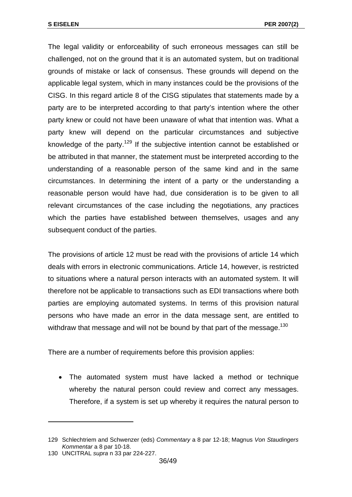The legal validity or enforceability of such erroneous messages can still be challenged, not on the ground that it is an automated system, but on traditional grounds of mistake or lack of consensus. These grounds will depend on the applicable legal system, which in many instances could be the provisions of the CISG. In this regard article 8 of the CISG stipulates that statements made by a party are to be interpreted according to that party's intention where the other party knew or could not have been unaware of what that intention was. What a party knew will depend on the particular circumstances and subjective knowledge of the party.<sup>129</sup> If the subjective intention cannot be established or be attributed in that manner, the statement must be interpreted according to the understanding of a reasonable person of the same kind and in the same circumstances. In determining the intent of a party or the understanding a reasonable person would have had, due consideration is to be given to all relevant circumstances of the case including the negotiations, any practices which the parties have established between themselves, usages and any subsequent conduct of the parties.

The provisions of article 12 must be read with the provisions of article 14 which deals with errors in electronic communications. Article 14, however, is restricted to situations where a natural person interacts with an automated system. It will therefore not be applicable to transactions such as EDI transactions where both parties are employing automated systems. In terms of this provision natural persons who have made an error in the data message sent, are entitled to withdraw that message and will not be bound by that part of the message.<sup>130</sup>

There are a number of requirements before this provision applies:

• The automated system must have lacked a method or technique whereby the natural person could review and correct any messages. Therefore, if a system is set up whereby it requires the natural person to

<sup>129</sup> Schlechtriem and Schwenzer (eds) *Commentary* a 8 par 12-18; Magnus *Von Staudingers Kommentar* a 8 par 10-18.

<sup>130</sup> UNCITRAL *supra* n 33 par 224-227.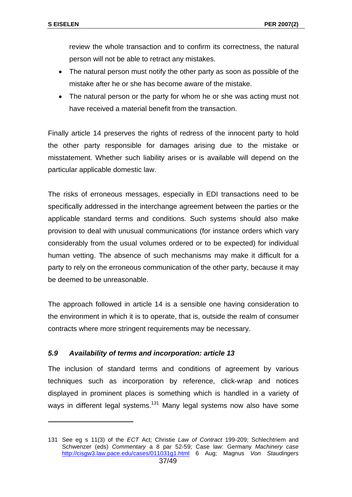review the whole transaction and to confirm its correctness, the natural person will not be able to retract any mistakes.

- The natural person must notify the other party as soon as possible of the mistake after he or she has become aware of the mistake.
- The natural person or the party for whom he or she was acting must not have received a material benefit from the transaction.

Finally article 14 preserves the rights of redress of the innocent party to hold the other party responsible for damages arising due to the mistake or misstatement. Whether such liability arises or is available will depend on the particular applicable domestic law.

The risks of erroneous messages, especially in EDI transactions need to be specifically addressed in the interchange agreement between the parties or the applicable standard terms and conditions. Such systems should also make provision to deal with unusual communications (for instance orders which vary considerably from the usual volumes ordered or to be expected) for individual human vetting. The absence of such mechanisms may make it difficult for a party to rely on the erroneous communication of the other party, because it may be deemed to be unreasonable.

The approach followed in article 14 is a sensible one having consideration to the environment in which it is to operate, that is, outside the realm of consumer contracts where more stringent requirements may be necessary.

### *5.9 Availability of terms and incorporation: article 13*

The inclusion of standard terms and conditions of agreement by various techniques such as incorporation by reference, click-wrap and notices displayed in prominent places is something which is handled in a variety of ways in different legal systems.<sup>131</sup> Many legal systems now also have some

<sup>131</sup> See eg s 11(3) of the *ECT* Act; Christie *Law of Contract* 199-209; Schlechtriem and Schwenzer (eds) *Commentary* a 8 par 52-59; Case law: Germany *Machinery case* <http://cisgw3.law.pace.edu/cases/011031g1.html> 6 Aug; Magnus *Von Staudingers*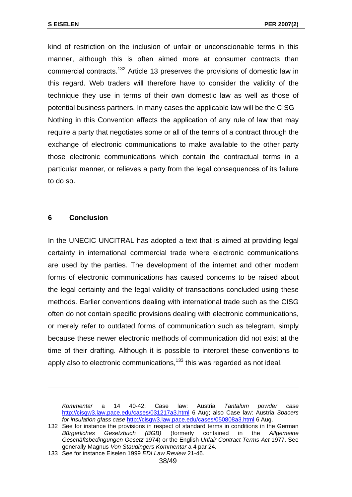kind of restriction on the inclusion of unfair or unconscionable terms in this manner, although this is often aimed more at consumer contracts than commercial contracts.132 Article 13 preserves the provisions of domestic law in this regard. Web traders will therefore have to consider the validity of the technique they use in terms of their own domestic law as well as those of potential business partners. In many cases the applicable law will be the CISG Nothing in this Convention affects the application of any rule of law that may require a party that negotiates some or all of the terms of a contract through the exchange of electronic communications to make available to the other party those electronic communications which contain the contractual terms in a particular manner, or relieves a party from the legal consequences of its failure to do so.

#### **6 Conclusion**

In the UNECIC UNCITRAL has adopted a text that is aimed at providing legal certainty in international commercial trade where electronic communications are used by the parties. The development of the internet and other modern forms of electronic communications has caused concerns to be raised about the legal certainty and the legal validity of transactions concluded using these methods. Earlier conventions dealing with international trade such as the CISG often do not contain specific provisions dealing with electronic communications, or merely refer to outdated forms of communication such as telegram, simply because these newer electronic methods of communication did not exist at the time of their drafting. Although it is possible to interpret these conventions to apply also to electronic communications, $133$  this was regarded as not ideal.

*Kommentar* a 14 40-42; Case law: Austria *Tantalum powder case*  <http://cisgw3.law.pace.edu/cases/031217a3.html> 6 Aug; also Case law: Austria *Spacers for insulation glass case* <http://cisgw3.law.pace.edu/cases/050808a3.html> 6 Aug.

<sup>132</sup> See for instance the provisions in respect of standard terms in conditions in the German<br>Bürgerliches Gesetzbuch (BGB) (formerly contained in the Allgemeine *Bürgerliches Gesetzbuch (BGB)* (formerly contained in the *Allgemeine Geschäftsbedingungen Gesetz* 1974) or the English *Unfair Contract Terms Act* 1977. See generally Magnus *Von Staudingers Kommentar* a 4 par 24.

<sup>133</sup> See for instance Eiselen 1999 *EDI Law Review* 21-46.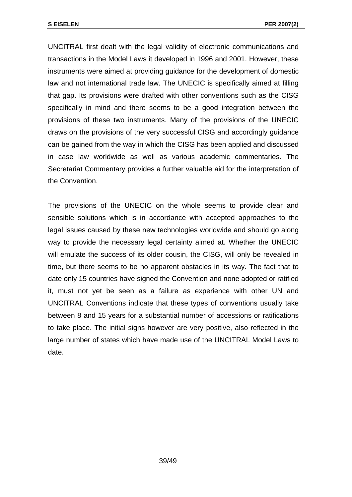UNCITRAL first dealt with the legal validity of electronic communications and transactions in the Model Laws it developed in 1996 and 2001. However, these instruments were aimed at providing guidance for the development of domestic law and not international trade law. The UNECIC is specifically aimed at filling that gap. Its provisions were drafted with other conventions such as the CISG specifically in mind and there seems to be a good integration between the provisions of these two instruments. Many of the provisions of the UNECIC draws on the provisions of the very successful CISG and accordingly guidance can be gained from the way in which the CISG has been applied and discussed in case law worldwide as well as various academic commentaries. The Secretariat Commentary provides a further valuable aid for the interpretation of the Convention.

The provisions of the UNECIC on the whole seems to provide clear and sensible solutions which is in accordance with accepted approaches to the legal issues caused by these new technologies worldwide and should go along way to provide the necessary legal certainty aimed at. Whether the UNECIC will emulate the success of its older cousin, the CISG, will only be revealed in time, but there seems to be no apparent obstacles in its way. The fact that to date only 15 countries have signed the Convention and none adopted or ratified it, must not yet be seen as a failure as experience with other UN and UNCITRAL Conventions indicate that these types of conventions usually take between 8 and 15 years for a substantial number of accessions or ratifications to take place. The initial signs however are very positive, also reflected in the large number of states which have made use of the UNCITRAL Model Laws to date.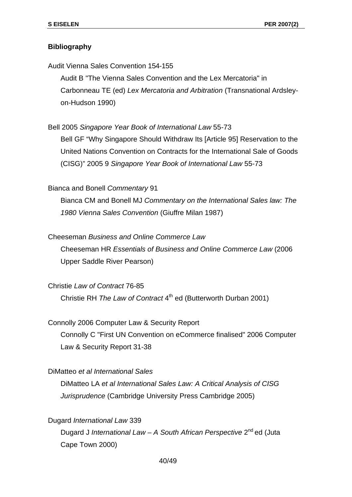### **Bibliography**

Audit Vienna Sales Convention 154-155

Audit B "The Vienna Sales Convention and the Lex Mercatoria" in Carbonneau TE (ed) *Lex Mercatoria and Arbitration* (Transnational Ardsleyon-Hudson 1990)

#### Bell 2005 *Singapore Year Book of International Law* 55-73

Bell GF "Why Singapore Should Withdraw Its [Article 95] Reservation to the United Nations Convention on Contracts for the International Sale of Goods (CISG)" 2005 9 *Singapore Year Book of International Law* 55-73

#### Bianca and Bonell *Commentary* 91

Bianca CM and Bonell MJ *Commentary on the International Sales law: The 1980 Vienna Sales Convention* (Giuffre Milan 1987)

#### Cheeseman *Business and Online Commerce Law*

Cheeseman HR *Essentials of Business and Online Commerce Law* (2006 Upper Saddle River Pearson)

#### Christie *Law of Contract* 76-85

Christie RH *The Law of Contract* 4<sup>th</sup> ed (Butterworth Durban 2001)

#### Connolly 2006 Computer Law & Security Report

Connolly C "First UN Convention on eCommerce finalised" 2006 Computer Law & Security Report 31-38

#### DiMatteo *et al International Sales*

DiMatteo LA *et al International Sales Law: A Critical Analysis of CISG Jurisprudence* (Cambridge University Press Cambridge 2005)

#### Dugard *International Law* 339

Dugard J *International Law – A South African Perspective* 2<sup>nd</sup> ed (Juta Cape Town 2000)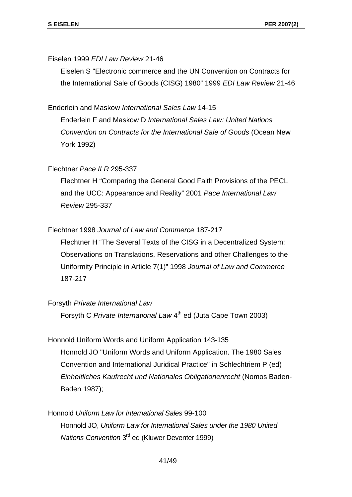Eiselen 1999 *EDI Law Review* 21-46

Eiselen S "Electronic commerce and the UN Convention on Contracts for the International Sale of Goods (CISG) 1980" 1999 *EDI Law Review* 21-46

Enderlein and Maskow *International Sales Law* 14-15

Enderlein F and Maskow D *International Sales Law: United Nations Convention on Contracts for the International Sale of Goods* (Ocean New York 1992)

#### Flechtner *Pace ILR* 295-337

Flechtner H "Comparing the General Good Faith Provisions of the PECL and the UCC: Appearance and Reality" 2001 *Pace International Law Review* 295-337

#### Flechtner 1998 *Journal of Law and Commerce* 187-217

Flechtner H "The Several Texts of the CISG in a Decentralized System: Observations on Translations, Reservations and other Challenges to the Uniformity Principle in Article 7(1)" 1998 *Journal of Law and Commerce* 187-217

### Forsyth *Private International Law*

Forsyth C *Private International Law* 4<sup>th</sup> ed (Juta Cape Town 2003)

Honnold Uniform Words and Uniform Application 143-135 Honnold JO "Uniform Words and Uniform Application. The 1980 Sales Convention and International Juridical Practice" in Schlechtriem P (ed) *Einheitliches Kaufrecht und Nationales Obligationenrecht* (Nomos Baden-Baden 1987);

Honnold *Uniform Law for International Sales* 99-100 Honnold JO, *Uniform Law for International Sales under the 1980 United Nations Convention* 3rd ed (Kluwer Deventer 1999)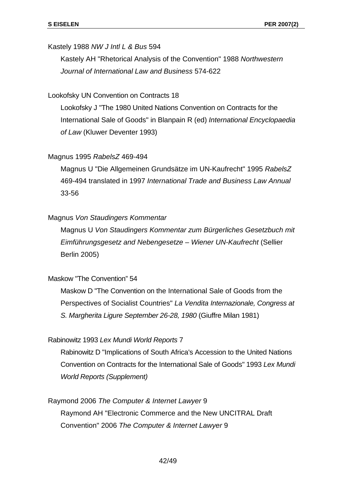Kastely 1988 *NW J Intl L & Bus* 594

Kastely AH "Rhetorical Analysis of the Convention" 1988 *Northwestern Journal of International Law and Business* 574-622

Lookofsky UN Convention on Contracts 18

Lookofsky J "The 1980 United Nations Convention on Contracts for the International Sale of Goods" in Blanpain R (ed) *International Encyclopaedia of Law* (Kluwer Deventer 1993)

#### Magnus 1995 *RabelsZ* 469-494

Magnus U "Die Allgemeinen Grundsätze im UN-Kaufrecht" 1995 *RabelsZ*  469-494 translated in 1997 *International Trade and Business Law Annual* 33-56

#### Magnus *Von Staudingers Kommentar*

Magnus U *Von Staudingers Kommentar zum Bürgerliches Gesetzbuch mit Eimführungsgesetz and Nebengesetze – Wiener UN-Kaufrecht* (Sellier Berlin 2005)

#### Maskow "The Convention" 54

Maskow D "The Convention on the International Sale of Goods from the Perspectives of Socialist Countries" *La Vendita Internazionale, Congress at S. Margherita Ligure September 26-28, 1980* (Giuffre Milan 1981)

#### Rabinowitz 1993 *Lex Mundi World Reports* 7

Rabinowitz D "Implications of South Africa's Accession to the United Nations Convention on Contracts for the International Sale of Goods" 1993 *Lex Mundi World Reports (Supplement)*

Raymond 2006 *The Computer & Internet Lawyer* 9 Raymond AH "Electronic Commerce and the New UNCITRAL Draft Convention" 2006 *The Computer & Internet Lawyer* 9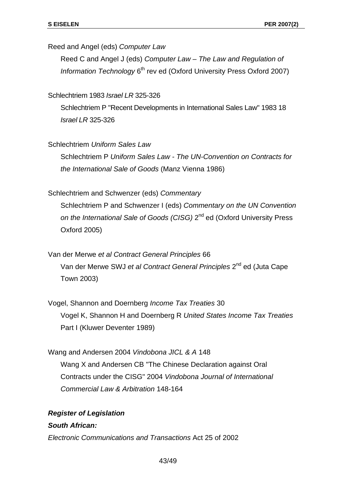Reed and Angel (eds) *Computer Law*

Reed C and Angel J (eds) *Computer Law – The Law and Regulation of Information Technology* 6<sup>th</sup> rev ed (Oxford University Press Oxford 2007)

Schlechtriem 1983 *Israel LR* 325-326

Schlechtriem P "Recent Developments in International Sales Law" 1983 18 *Israel LR* 325-326

Schlechtriem *Uniform Sales Law* 

Schlechtriem P *Uniform Sales Law - The UN-Convention on Contracts for the International Sale of Goods* (Manz Vienna 1986)

#### Schlechtriem and Schwenzer (eds) *Commentary*

Schlechtriem P and Schwenzer I (eds) *Commentary on the UN Convention on the International Sale of Goods (CISG)* 2nd ed (Oxford University Press Oxford 2005)

Van der Merwe *et al Contract General Principles* 66 Van der Merwe SWJ *et al Contract General Principles* 2nd ed (Juta Cape Town 2003)

Vogel, Shannon and Doernberg *Income Tax Treaties* 30 Vogel K, Shannon H and Doernberg R *United States Income Tax Treaties* Part I (Kluwer Deventer 1989)

Wang and Andersen 2004 *Vindobona JICL & A* 148 Wang X and Andersen CB "The Chinese Declaration against Oral Contracts under the CISG" 2004 *Vindobona Journal of International Commercial Law & Arbitration* 148-164

#### *Register of Legislation*

### *South African:*

*Electronic Communications and Transactions* Act 25 of 2002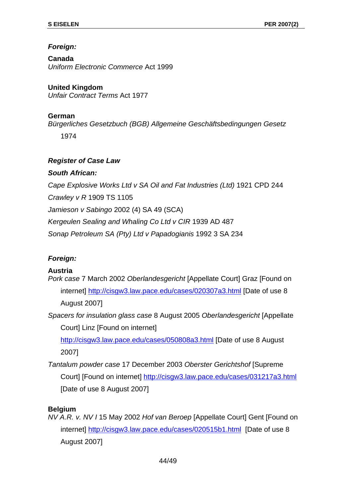## *Foreign:*

**Canada** *Uniform Electronic Commerce* Act 1999

**United Kingdom**  *Unfair Contract Terms* Act 1977

## **German**

*Bürgerliches Gesetzbuch (BGB) Allgemeine Geschäftsbedingungen Gesetz* 

1974

## *Register of Case Law*

## *South African:*

*Cape Explosive Works Ltd v SA Oil and Fat Industries (Ltd)* 1921 CPD 244 *Crawley v R* 1909 TS 1105 *Jamieson v Sabingo* 2002 (4) SA 49 (SCA) *Kergeulen Sealing and Whaling Co Ltd v CIR* 1939 AD 487 *Sonap Petroleum SA (Pty) Ltd v Papadogianis* 1992 3 SA 234

## *Foreign:*

## **Austria**

- *Pork case* 7 March 2002 *Oberlandesgericht* [Appellate Court] Graz [Found on internet]<http://cisgw3.law.pace.edu/cases/020307a3.html> [Date of use 8 August 2007]
- *Spacers for insulation glass case* 8 August 2005 *Oberlandesgericht* [Appellate Court] Linz [Found on internet]

<http://cisgw3.law.pace.edu/cases/050808a3.html> [Date of use 8 August 2007]

*Tantalum powder case* 17 December 2003 *Oberster Gerichtshof* [Supreme Court] [Found on internet]<http://cisgw3.law.pace.edu/cases/031217a3.html> [Date of use 8 August 2007]

## **Belgium**

*NV A.R. v. NV I* 15 May 2002 *Hof van Beroep* [Appellate Court] Gent [Found on internet]<http://cisgw3.law.pace.edu/cases/020515b1.html>[Date of use 8 August 2007]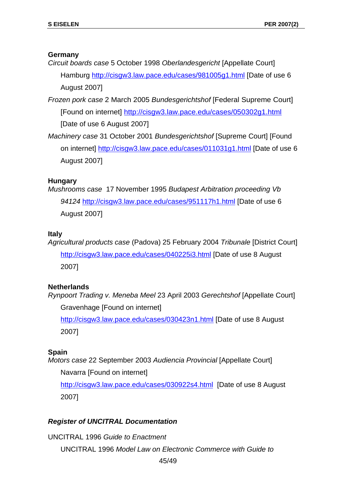#### **Germany**

*Circuit boards case* 5 October 1998 *Oberlandesgericht* [Appellate Court] Hamburg <http://cisgw3.law.pace.edu/cases/981005g1.html> [Date of use 6 August 2007]

- *Frozen pork case* 2 March 2005 *Bundesgerichtshof* [Federal Supreme Court] [Found on internet]<http://cisgw3.law.pace.edu/cases/050302g1.html> [Date of use 6 August 2007]
- *Machinery case* 31 October 2001 *Bundesgerichtshof* [Supreme Court] [Found on internet]<http://cisgw3.law.pace.edu/cases/011031g1.html> [Date of use 6 August 2007]

#### **Hungary**

*Mushrooms case* 17 November 1995 *Budapest Arbitration proceeding Vb 94124* <http://cisgw3.law.pace.edu/cases/951117h1.html> [Date of use 6 August 2007]

#### **Italy**

*Agricultural products case* (Padova) 25 February 2004 *Tribunale* [District Court] <http://cisgw3.law.pace.edu/cases/040225i3.html> [Date of use 8 August 2007]

### **Netherlands**

*Rynpoort Trading v. Meneba Meel* 23 April 2003 *Gerechtshof* [Appellate Court] Gravenhage [Found on internet]

<http://cisgw3.law.pace.edu/cases/030423n1.html> [Date of use 8 August] 2007]

### **Spain**

*Motors case* 22 September 2003 *Audiencia Provincial* [Appellate Court] Navarra [Found on internet]

<http://cisgw3.law.pace.edu/cases/030922s4.html> [Date of use 8 August] 2007]

### *Register of UNCITRAL Documentation*

UNCITRAL 1996 *Guide to Enactment* UNCITRAL 1996 *Model Law on Electronic Commerce with Guide to*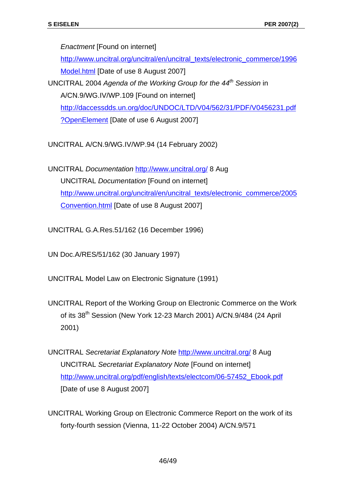*Enactment* [Found on internet] [http://www.uncitral.org/uncitral/en/uncitral\\_texts/electronic\\_commerce/1996](http://www.uncitral.org/uncitral/en/uncitral_texts/electronic_commerce/1996Model.html) [Model.html](http://www.uncitral.org/uncitral/en/uncitral_texts/electronic_commerce/1996Model.html) [Date of use 8 August 2007] UNCITRAL 2004 *Agenda of the Working Group for the 44th Session* in A/CN.9/WG.IV/WP.109 [Found on internet] [http://daccessdds.un.org/doc/UNDOC/LTD/V04/562/31/PDF/V0456231.pdf](http://daccessdds.un.org/doc/UNDOC/LTD/V04/562/31/PDF/V0456231.pdf?OpenElement) [?OpenElement](http://daccessdds.un.org/doc/UNDOC/LTD/V04/562/31/PDF/V0456231.pdf?OpenElement) [Date of use 6 August 2007]

UNCITRAL A/CN.9/WG.IV/WP.94 (14 February 2002)

UNCITRAL *Documentation* [http://www.uncitral.org/](http://www.uncitral.org/uncitral/en/uncitral_texts/electronic_commerce/2005Convention.html) 8 Aug UNCITRAL *Documentation* [Found on internet] [http://www.uncitral.org/uncitral/en/uncitral\\_texts/electronic\\_commerce/2005](http://www.uncitral.org/uncitral/en/uncitral_texts/electronic_commerce/2005Convention.html) [Convention.html](http://www.uncitral.org/uncitral/en/uncitral_texts/electronic_commerce/2005Convention.html) [Date of use 8 August 2007]

UNCITRAL G.A.Res.51/162 (16 December 1996)

UN Doc.A/RES/51/162 (30 January 1997)

UNCITRAL Model Law on Electronic Signature (1991)

- UNCITRAL Report of the Working Group on Electronic Commerce on the Work of its 38<sup>th</sup> Session (New York 12-23 March 2001) A/CN.9/484 (24 April 2001)
- UNCITRAL *Secretariat Explanatory Note* [http://www.uncitral.org/](http://www.uncitral.org/pdf/english/texts/electcom/06-57452_Ebook.pdf) 8 Aug UNCITRAL *Secretariat Explanatory Note* [Found on internet] [http://www.uncitral.org/pdf/english/texts/electcom/06-57452\\_Ebook.pdf](http://www.uncitral.org/pdf/english/texts/electcom/06-57452_Ebook.pdf) [Date of use 8 August 2007]
- UNCITRAL Working Group on Electronic Commerce Report on the work of its forty-fourth session (Vienna, 11-22 October 2004) A/CN.9/571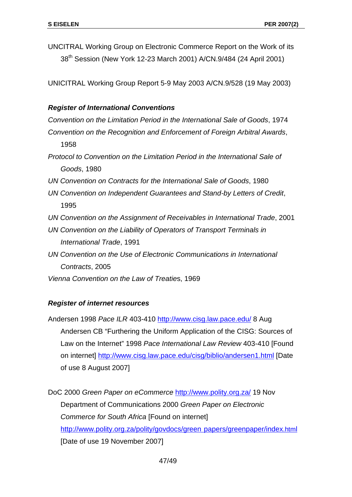UNCITRAL Working Group on Electronic Commerce Report on the Work of its 38th Session (New York 12-23 March 2001) A/CN.9/484 (24 April 2001)

UNICITRAL Working Group Report 5-9 May 2003 A/CN.9/528 (19 May 2003)

## *Register of International Conventions*

*Convention on the Limitation Period in the International Sale of Goods*, 1974

- *Convention on the Recognition and Enforcement of Foreign Arbitral Awards*, 1958
- *Protocol to Convention on the Limitation Period in the International Sale of Goods*, 1980
- *UN Convention on Contracts for the International Sale of Goods*, 1980
- *UN Convention on Independent Guarantees and Stand-by Letters of Credit*, 1995
- *UN Convention on the Assignment of Receivables in International Trade*, 2001
- *UN Convention on the Liability of Operators of Transport Terminals in International Trade*, 1991
- *UN Convention on the Use of Electronic Communications in International Contracts*, 2005
- *Vienna Convention on the Law of Treatie*s, 1969

## *Register of internet resources*

Andersen 1998 *Pace ILR* 403-410 [http://www.cisg.law.pace.edu/](http://www.cisg.law.pace.edu/cisg/biblio/andersen1.html) 8 Aug Andersen CB "Furthering the Uniform Application of the CISG: Sources of Law on the Internet" 1998 *Pace International Law Review* 403-410 [Found on internet]<http://www.cisg.law.pace.edu/cisg/biblio/andersen1.html> [Date of use 8 August 2007]

DoC 2000 *Green Paper on eCommerce* [http://www.polity.org.za/](http://www.polity.org.za/polity/govdocs/green_papers/greenpaper/index.html) 19 Nov Department of Communications 2000 *Green Paper on Electronic Commerce for South Africa* [Found on internet] [http://www.polity.org.za/polity/govdocs/green\\_papers/greenpaper/index.html](http://www.polity.org.za/polity/govdocs/green_papers/greenpaper/index.html) [Date of use 19 November 2007]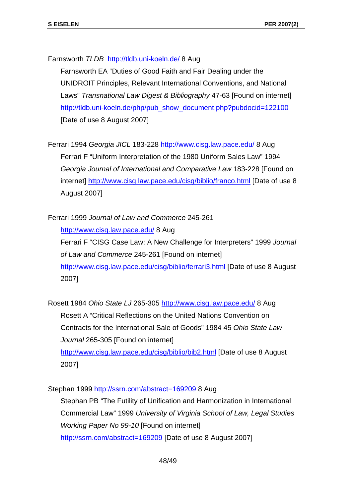Farnsworth *TLDB* [http://tldb.uni-koeln.de/](http://tldb.uni-koeln.de/php/pub_show_document.php?pubdocid=122100) 8 Aug

Farnsworth EA "Duties of Good Faith and Fair Dealing under the UNIDROIT Principles, Relevant International Conventions, and National Laws" *Transnational Law Digest & Bibliography* 47-63 [Found on internet] [http://tldb.uni-koeln.de/php/pub\\_show\\_document.php?pubdocid=122100](http://tldb.uni-koeln.de/php/pub_show_document.php?pubdocid=122100) [Date of use 8 August 2007]

Ferrari 1994 Georgia JICL 183-228 [http://www.cisg.law.pace.edu/](http://www.cisg.law.pace.edu/cisg/biblio/franco.html) 8 Aug Ferrari F "Uniform Interpretation of the 1980 Uniform Sales Law" 1994 *Georgia Journal of International and Comparative Law* 183-228 [Found on internet]<http://www.cisg.law.pace.edu/cisg/biblio/franco.html> [Date of use 8 August 2007]

Ferrari 1999 *Journal of Law and Commerce* 245-261 [http://www.cisg.law.pace.edu/](http://www.cisg.law.pace.edu/cisg/biblio/ferrari3.html) 8 Aug Ferrari F "CISG Case Law: A New Challenge for Interpreters" 1999 *Journal of Law and Commerce* 245-261 [Found on internet] <http://www.cisg.law.pace.edu/cisg/biblio/ferrari3.html> [Date of use 8 August 2007]

Rosett 1984 *Ohio State LJ* 265-305 [http://www.cisg.law.pace.edu/](http://www.cisg.law.pace.edu/cisg/biblio/bib2.html) 8 Aug Rosett A "Critical Reflections on the United Nations Convention on Contracts for the International Sale of Goods" 1984 45 *Ohio State Law Journal* 265-305 [Found on internet] <http://www.cisg.law.pace.edu/cisg/biblio/bib2.html> [Date of use 8 August 2007]

Stephan 1999<http://ssrn.com/abstract=169209> 8 Aug Stephan PB "The Futility of Unification and Harmonization in International Commercial Law" 1999 *University of Virginia School of Law, Legal Studies Working Paper No 99-10* [Found on internet] <http://ssrn.com/abstract=169209> [Date of use 8 August 2007]